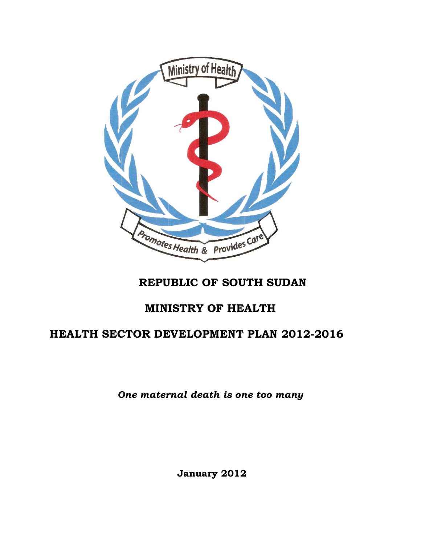

# **REPUBLIC OF SOUTH SUDAN**

# **MINISTRY OF HEALTH**

# **HEALTH SECTOR DEVELOPMENT PLAN 2012-2016**

*One maternal death is one too many*

**January 2012**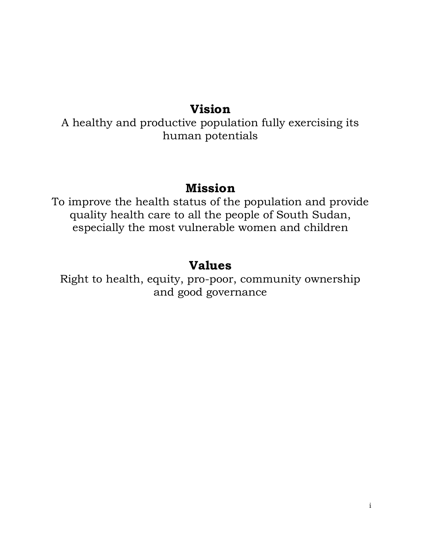# **Vision**

A healthy and productive population fully exercising its human potentials

# **Mission**

To improve the health status of the population and provide quality health care to all the people of South Sudan, especially the most vulnerable women and children

# **Values**

Right to health, equity, pro-poor, community ownership and good governance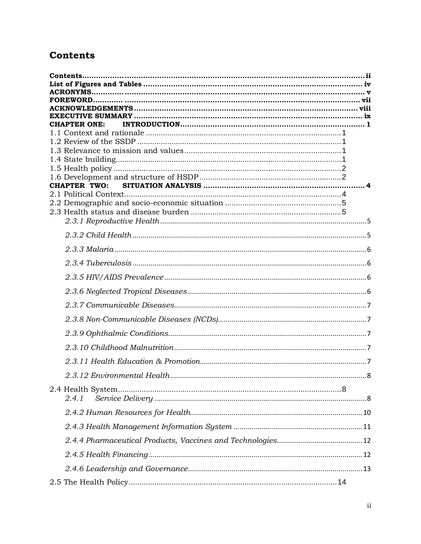# <span id="page-2-0"></span>**Contents**

| <b>CHAPTER ONE:</b> |  |
|---------------------|--|
|                     |  |
|                     |  |
|                     |  |
|                     |  |
|                     |  |
|                     |  |
|                     |  |
|                     |  |
|                     |  |
|                     |  |
|                     |  |
|                     |  |
|                     |  |
|                     |  |
|                     |  |
|                     |  |
|                     |  |
|                     |  |
|                     |  |
|                     |  |
|                     |  |
|                     |  |
| 2.4.1               |  |
|                     |  |
|                     |  |
|                     |  |
|                     |  |
|                     |  |
|                     |  |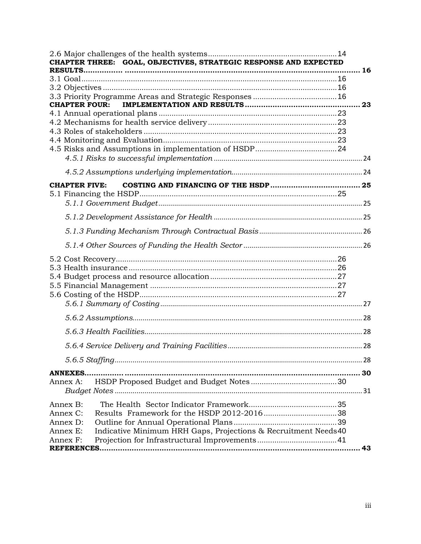| CHAPTER THREE: GOAL, OBJECTIVES, STRATEGIC RESPONSE AND EXPECTED                                                           |    |
|----------------------------------------------------------------------------------------------------------------------------|----|
|                                                                                                                            | 16 |
|                                                                                                                            |    |
|                                                                                                                            |    |
| <b>CHAPTER FOUR:</b>                                                                                                       | 23 |
|                                                                                                                            |    |
|                                                                                                                            |    |
|                                                                                                                            |    |
|                                                                                                                            |    |
|                                                                                                                            |    |
|                                                                                                                            |    |
|                                                                                                                            |    |
| <b>CHAPTER FIVE:</b>                                                                                                       |    |
|                                                                                                                            |    |
|                                                                                                                            |    |
|                                                                                                                            |    |
|                                                                                                                            |    |
|                                                                                                                            |    |
|                                                                                                                            |    |
|                                                                                                                            |    |
|                                                                                                                            |    |
|                                                                                                                            |    |
|                                                                                                                            |    |
| <b>ANNEXES.</b><br>Annex A:                                                                                                |    |
| Annex B:<br>Annex C:<br>Annex D:<br>Indicative Minimum HRH Gaps, Projections & Recruitment Needs40<br>Annex E:<br>Annex F: | 43 |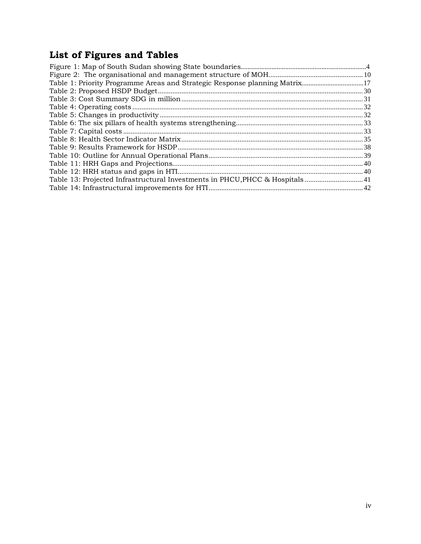# **List of Figures and Tables**

<span id="page-4-0"></span>

| Table 1: Priority Programme Areas and Strategic Response planning Matrix17 |  |
|----------------------------------------------------------------------------|--|
|                                                                            |  |
|                                                                            |  |
|                                                                            |  |
|                                                                            |  |
|                                                                            |  |
|                                                                            |  |
|                                                                            |  |
|                                                                            |  |
|                                                                            |  |
|                                                                            |  |
|                                                                            |  |
|                                                                            |  |
|                                                                            |  |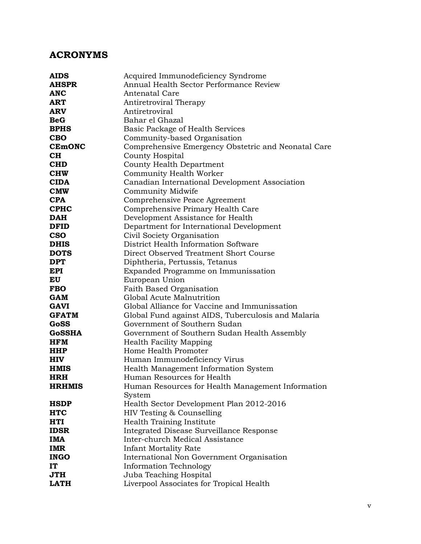# <span id="page-5-0"></span>**ACRONYMS**

| <b>AIDS</b>               | Acquired Immunodeficiency Syndrome                                          |  |  |  |  |  |
|---------------------------|-----------------------------------------------------------------------------|--|--|--|--|--|
| <b>AHSPR</b>              | Annual Health Sector Performance Review                                     |  |  |  |  |  |
| <b>ANC</b>                | <b>Antenatal Care</b>                                                       |  |  |  |  |  |
| <b>ART</b>                | Antiretroviral Therapy                                                      |  |  |  |  |  |
| <b>ARV</b>                | Antiretroviral                                                              |  |  |  |  |  |
| <b>BeG</b>                | Bahar el Ghazal                                                             |  |  |  |  |  |
| <b>BPHS</b>               | Basic Package of Health Services                                            |  |  |  |  |  |
| <b>CBO</b>                | Community-based Organisation                                                |  |  |  |  |  |
| <b>CEMONC</b>             | Comprehensive Emergency Obstetric and Neonatal Care                         |  |  |  |  |  |
| CH                        | County Hospital                                                             |  |  |  |  |  |
| <b>CHD</b>                | <b>County Health Department</b>                                             |  |  |  |  |  |
| <b>CHW</b>                | Community Health Worker                                                     |  |  |  |  |  |
| <b>CIDA</b>               | Canadian International Development Association                              |  |  |  |  |  |
| <b>CMW</b>                | Community Midwife                                                           |  |  |  |  |  |
| <b>CPA</b>                | Comprehensive Peace Agreement                                               |  |  |  |  |  |
| <b>CPHC</b>               | Comprehensive Primary Health Care                                           |  |  |  |  |  |
| <b>DAH</b>                | Development Assistance for Health                                           |  |  |  |  |  |
| <b>DFID</b>               | Department for International Development                                    |  |  |  |  |  |
| <b>CSO</b>                | Civil Society Organisation                                                  |  |  |  |  |  |
| <b>DHIS</b>               | District Health Information Software                                        |  |  |  |  |  |
| <b>DOTS</b>               | Direct Observed Treatment Short Course                                      |  |  |  |  |  |
| <b>DPT</b>                | Diphtheria, Pertussis, Tetanus                                              |  |  |  |  |  |
| <b>EPI</b>                | Expanded Programme on Immunissation                                         |  |  |  |  |  |
| EU                        | European Union                                                              |  |  |  |  |  |
| <b>FBO</b>                | Faith Based Organisation                                                    |  |  |  |  |  |
| <b>GAM</b>                | Global Acute Malnutrition                                                   |  |  |  |  |  |
| <b>GAVI</b>               | Global Alliance for Vaccine and Immunissation                               |  |  |  |  |  |
| <b>GFATM</b>              | Global Fund against AIDS, Tuberculosis and Malaria                          |  |  |  |  |  |
| GoSS                      | Government of Southern Sudan                                                |  |  |  |  |  |
| <b>GoSSHA</b>             | Government of Southern Sudan Health Assembly                                |  |  |  |  |  |
| HFM                       | <b>Health Facility Mapping</b>                                              |  |  |  |  |  |
| <b>HHP</b>                | Home Health Promoter                                                        |  |  |  |  |  |
| <b>HIV</b>                | Human Immunodeficiency Virus                                                |  |  |  |  |  |
| <b>HMIS</b>               | Health Management Information System                                        |  |  |  |  |  |
| <b>HRH</b>                | Human Resources for Health                                                  |  |  |  |  |  |
| <b>HRHMIS</b>             | Human Resources for Health Management Information                           |  |  |  |  |  |
|                           | System                                                                      |  |  |  |  |  |
| <b>HSDP</b>               | Health Sector Development Plan 2012-2016                                    |  |  |  |  |  |
| <b>HTC</b>                | HIV Testing & Counselling                                                   |  |  |  |  |  |
| <b>HTI</b>                | Health Training Institute                                                   |  |  |  |  |  |
| <b>IDSR</b><br><b>IMA</b> | Integrated Disease Surveillance Response<br>Inter-church Medical Assistance |  |  |  |  |  |
|                           |                                                                             |  |  |  |  |  |
| <b>IMR</b><br><b>INGO</b> | <b>Infant Mortality Rate</b>                                                |  |  |  |  |  |
| <b>IT</b>                 | International Non Government Organisation                                   |  |  |  |  |  |
| <b>JTH</b>                | <b>Information Technology</b>                                               |  |  |  |  |  |
| <b>LATH</b>               | Juba Teaching Hospital                                                      |  |  |  |  |  |
|                           | Liverpool Associates for Tropical Health                                    |  |  |  |  |  |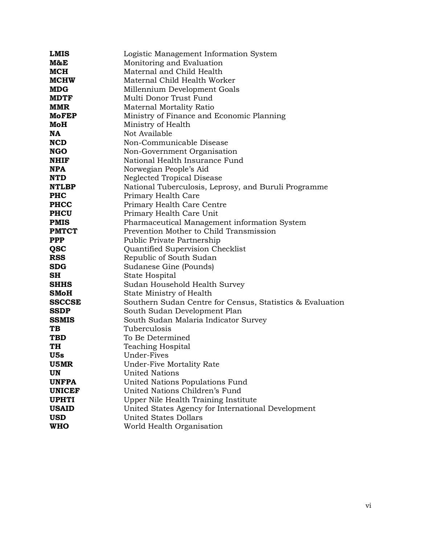| <b>LMIS</b>              | Logistic Management Information System                                             |
|--------------------------|------------------------------------------------------------------------------------|
| M&E                      | Monitoring and Evaluation                                                          |
| <b>MCH</b>               | Maternal and Child Health                                                          |
| <b>MCHW</b>              | Maternal Child Health Worker                                                       |
| <b>MDG</b>               | Millennium Development Goals                                                       |
| <b>MDTF</b>              | Multi Donor Trust Fund                                                             |
| <b>MMR</b>               | Maternal Mortality Ratio                                                           |
| <b>MoFEP</b>             | Ministry of Finance and Economic Planning                                          |
| MoH                      | Ministry of Health                                                                 |
| NA                       | Not Available                                                                      |
| <b>NCD</b>               | Non-Communicable Disease                                                           |
| <b>NGO</b>               | Non-Government Organisation                                                        |
| <b>NHIF</b>              | National Health Insurance Fund                                                     |
| <b>NPA</b>               | Norwegian People's Aid                                                             |
| <b>NTD</b>               | <b>Neglected Tropical Disease</b>                                                  |
| <b>NTLBP</b>             | National Tuberculosis, Leprosy, and Buruli Programme                               |
| <b>PHC</b>               | Primary Health Care                                                                |
| <b>PHCC</b>              | Primary Health Care Centre                                                         |
| <b>PHCU</b>              | Primary Health Care Unit                                                           |
| <b>PMIS</b>              | Pharmaceutical Management information System                                       |
| <b>PMTCT</b>             | Prevention Mother to Child Transmission                                            |
| <b>PPP</b>               | Public Private Partnership                                                         |
| <b>QSC</b>               | Quantified Supervision Checklist                                                   |
| <b>RSS</b>               | Republic of South Sudan                                                            |
| <b>SDG</b>               | Sudanese Gine (Pounds)                                                             |
| <b>SH</b>                | State Hospital                                                                     |
| <b>SHHS</b>              | Sudan Household Health Survey                                                      |
| <b>SMoH</b>              | State Ministry of Health                                                           |
| <b>SSCCSE</b>            | Southern Sudan Centre for Census, Statistics & Evaluation                          |
| <b>SSDP</b>              | South Sudan Development Plan                                                       |
| <b>SSMIS</b>             | South Sudan Malaria Indicator Survey                                               |
| TВ                       | Tuberculosis                                                                       |
| <b>TBD</b>               | To Be Determined                                                                   |
| TH                       | <b>Teaching Hospital</b>                                                           |
| U5s                      | Under-Fives                                                                        |
| U5MR                     | Under-Five Mortality Rate                                                          |
| <b>UN</b>                | <b>United Nations</b>                                                              |
| <b>UNFPA</b>             | United Nations Populations Fund                                                    |
| <b>UNICEF</b>            | United Nations Children's Fund                                                     |
| <b>UPHTI</b>             | Upper Nile Health Training Institute                                               |
| <b>USAID</b>             | United States Agency for International Development<br><b>United States Dollars</b> |
| <b>USD</b><br><b>WHO</b> |                                                                                    |
|                          | World Health Organisation                                                          |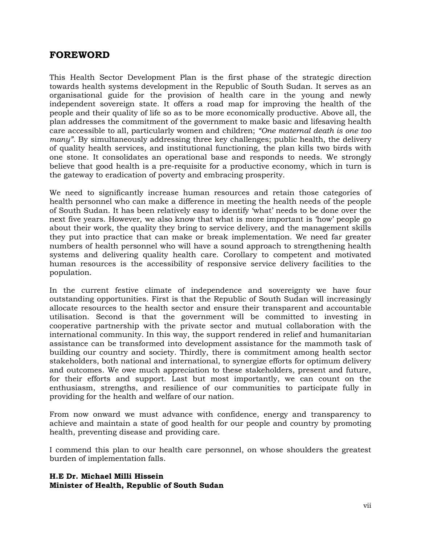# <span id="page-7-0"></span>**FOREWORD**

This Health Sector Development Plan is the first phase of the strategic direction towards health systems development in the Republic of South Sudan. It serves as an organisational guide for the provision of health care in the young and newly independent sovereign state. It offers a road map for improving the health of the people and their quality of life so as to be more economically productive. Above all, the plan addresses the commitment of the government to make basic and lifesaving health care accessible to all, particularly women and children; *"One maternal death is one too many"*. By simultaneously addressing three key challenges; public health, the delivery of quality health services, and institutional functioning, the plan kills two birds with one stone. It consolidates an operational base and responds to needs. We strongly believe that good health is a pre-requisite for a productive economy, which in turn is the gateway to eradication of poverty and embracing prosperity.

We need to significantly increase human resources and retain those categories of health personnel who can make a difference in meeting the health needs of the people of South Sudan. It has been relatively easy to identify 'what' needs to be done over the next five years. However, we also know that what is more important is 'how' people go about their work, the quality they bring to service delivery, and the management skills they put into practice that can make or break implementation. We need far greater numbers of health personnel who will have a sound approach to strengthening health systems and delivering quality health care. Corollary to competent and motivated human resources is the accessibility of responsive service delivery facilities to the population.

In the current festive climate of independence and sovereignty we have four outstanding opportunities. First is that the Republic of South Sudan will increasingly allocate resources to the health sector and ensure their transparent and accountable utilisation. Second is that the government will be committed to investing in cooperative partnership with the private sector and mutual collaboration with the international community. In this way, the support rendered in relief and humanitarian assistance can be transformed into development assistance for the mammoth task of building our country and society. Thirdly, there is commitment among health sector stakeholders, both national and international, to synergize efforts for optimum delivery and outcomes. We owe much appreciation to these stakeholders, present and future, for their efforts and support. Last but most importantly, we can count on the enthusiasm, strengths, and resilience of our communities to participate fully in providing for the health and welfare of our nation.

From now onward we must advance with confidence, energy and transparency to achieve and maintain a state of good health for our people and country by promoting health, preventing disease and providing care.

I commend this plan to our health care personnel, on whose shoulders the greatest burden of implementation falls.

#### **H.E Dr. Michael Milli Hissein Minister of Health, Republic of South Sudan**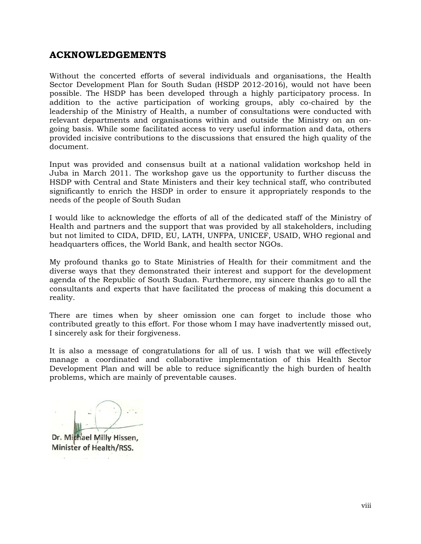# <span id="page-8-0"></span>**ACKNOWLEDGEMENTS**

Without the concerted efforts of several individuals and organisations, the Health Sector Development Plan for South Sudan (HSDP 2012-2016), would not have been possible. The HSDP has been developed through a highly participatory process. In addition to the active participation of working groups, ably co-chaired by the leadership of the Ministry of Health, a number of consultations were conducted with relevant departments and organisations within and outside the Ministry on an ongoing basis. While some facilitated access to very useful information and data, others provided incisive contributions to the discussions that ensured the high quality of the document.

Input was provided and consensus built at a national validation workshop held in Juba in March 2011. The workshop gave us the opportunity to further discuss the HSDP with Central and State Ministers and their key technical staff, who contributed significantly to enrich the HSDP in order to ensure it appropriately responds to the needs of the people of South Sudan

I would like to acknowledge the efforts of all of the dedicated staff of the Ministry of Health and partners and the support that was provided by all stakeholders, including but not limited to CIDA, DFID, EU, LATH, UNFPA, UNICEF, USAID, WHO regional and headquarters offices, the World Bank, and health sector NGOs.

My profound thanks go to State Ministries of Health for their commitment and the diverse ways that they demonstrated their interest and support for the development agenda of the Republic of South Sudan. Furthermore, my sincere thanks go to all the consultants and experts that have facilitated the process of making this document a reality.

There are times when by sheer omission one can forget to include those who contributed greatly to this effort. For those whom I may have inadvertently missed out, I sincerely ask for their forgiveness.

It is also a message of congratulations for all of us. I wish that we will effectively manage a coordinated and collaborative implementation of this Health Sector Development Plan and will be able to reduce significantly the high burden of health problems, which are mainly of preventable causes.

Dr. Mithael Milly Hissen, Minister of Health/RSS.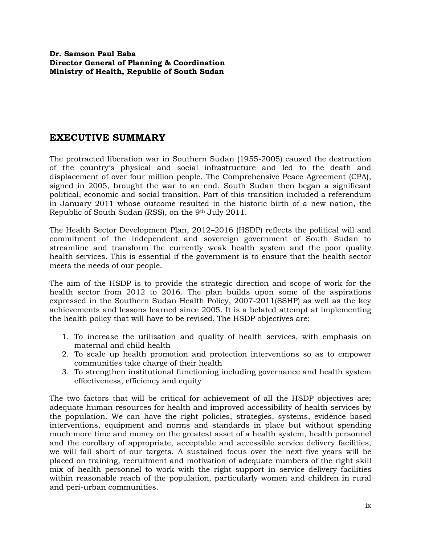# <span id="page-9-0"></span>**EXECUTIVE SUMMARY**

The protracted liberation war in Southern Sudan (1955-2005) caused the destruction of the country's physical and social infrastructure and led to the death and displacement of over four million people. The Comprehensive Peace Agreement (CPA), signed in 2005, brought the war to an end. South Sudan then began a significant political, economic and social transition. Part of this transition included a referendum in January 2011 whose outcome resulted in the historic birth of a new nation, the Republic of South Sudan (RSS), on the 9th July 2011.

The Health Sector Development Plan, 2012–2016 (HSDP) reflects the political will and commitment of the independent and sovereign government of South Sudan to streamline and transform the currently weak health system and the poor quality health services. This is essential if the government is to ensure that the health sector meets the needs of our people.

The aim of the HSDP is to provide the strategic direction and scope of work for the health sector from 2012 to 2016. The plan builds upon some of the aspirations expressed in the Southern Sudan Health Policy, 2007-2011(SSHP) as well as the key achievements and lessons learned since 2005. It is a belated attempt at implementing the health policy that will have to be revised. The HSDP objectives are:

- 1. To increase the utilisation and quality of health services, with emphasis on maternal and child health
- 2. To scale up health promotion and protection interventions so as to empower communities take charge of their health
- 3. To strengthen institutional functioning including governance and health system effectiveness, efficiency and equity

The two factors that will be critical for achievement of all the HSDP objectives are; adequate human resources for health and improved accessibility of health services by the population. We can have the right policies, strategies, systems, evidence based interventions, equipment and norms and standards in place but without spending much more time and money on the greatest asset of a health system, health personnel and the corollary of appropriate, acceptable and accessible service delivery facilities, we will fall short of our targets. A sustained focus over the next five years will be placed on training, recruitment and motivation of adequate numbers of the right skill mix of health personnel to work with the right support in service delivery facilities within reasonable reach of the population, particularly women and children in rural and peri-urban communities.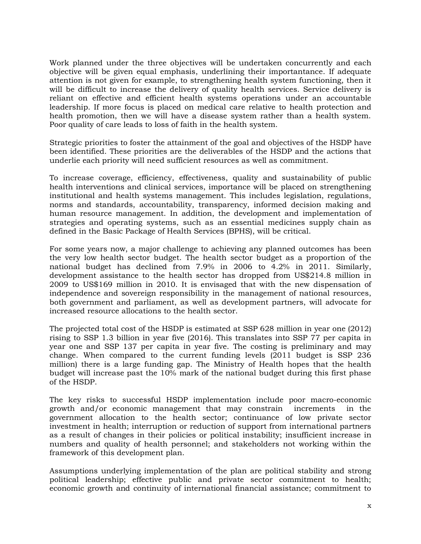Work planned under the three objectives will be undertaken concurrently and each objective will be given equal emphasis, underlining their importantance. If adequate attention is not given for example, to strengthening health system functioning, then it will be difficult to increase the delivery of quality health services. Service delivery is reliant on effective and efficient health systems operations under an accountable leadership. If more focus is placed on medical care relative to health protection and health promotion, then we will have a disease system rather than a health system. Poor quality of care leads to loss of faith in the health system.

Strategic priorities to foster the attainment of the goal and objectives of the HSDP have been identified. These priorities are the deliverables of the HSDP and the actions that underlie each priority will need sufficient resources as well as commitment.

To increase coverage, efficiency, effectiveness, quality and sustainability of public health interventions and clinical services, importance will be placed on strengthening institutional and health systems management. This includes legislation, regulations, norms and standards, accountability, transparency, informed decision making and human resource management. In addition, the development and implementation of strategies and operating systems, such as an essential medicines supply chain as defined in the Basic Package of Health Services (BPHS), will be critical.

For some years now, a major challenge to achieving any planned outcomes has been the very low health sector budget. The health sector budget as a proportion of the national budget has declined from 7.9% in 2006 to 4.2% in 2011. Similarly, development assistance to the health sector has dropped from US\$214.8 million in 2009 to US\$169 million in 2010. It is envisaged that with the new dispensation of independence and sovereign responsibility in the management of national resources, both government and parliament, as well as development partners, will advocate for increased resource allocations to the health sector.

The projected total cost of the HSDP is estimated at SSP 628 million in year one (2012) rising to SSP 1.3 billion in year five (2016). This translates into SSP 77 per capita in year one and SSP 137 per capita in year five. The costing is preliminary and may change. When compared to the current funding levels (2011 budget is SSP 236 million) there is a large funding gap. The Ministry of Health hopes that the health budget will increase past the 10% mark of the national budget during this first phase of the HSDP.

The key risks to successful HSDP implementation include poor macro-economic growth and/or economic management that may constrain increments in the government allocation to the health sector; continuance of low private sector investment in health; interruption or reduction of support from international partners as a result of changes in their policies or political instability; insufficient increase in numbers and quality of health personnel; and stakeholders not working within the framework of this development plan.

Assumptions underlying implementation of the plan are political stability and strong political leadership; effective public and private sector commitment to health; economic growth and continuity of international financial assistance; commitment to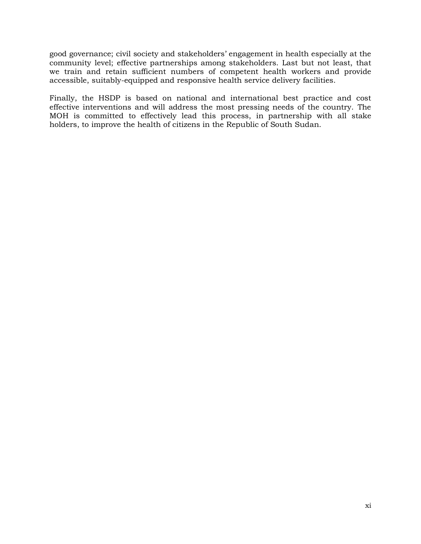good governance; civil society and stakeholders' engagement in health especially at the community level; effective partnerships among stakeholders. Last but not least, that we train and retain sufficient numbers of competent health workers and provide accessible, suitably-equipped and responsive health service delivery facilities.

Finally, the HSDP is based on national and international best practice and cost effective interventions and will address the most pressing needs of the country. The MOH is committed to effectively lead this process, in partnership with all stake holders, to improve the health of citizens in the Republic of South Sudan.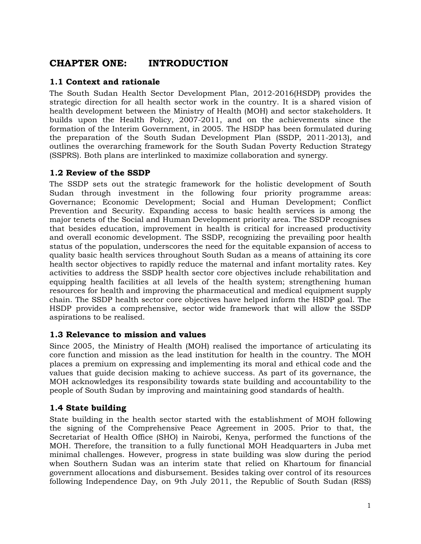# <span id="page-12-0"></span>**CHAPTER ONE: INTRODUCTION**

### <span id="page-12-1"></span>**1.1 Context and rationale**

The South Sudan Health Sector Development Plan, 2012-2016(HSDP) provides the strategic direction for all health sector work in the country. It is a shared vision of health development between the Ministry of Health (MOH) and sector stakeholders. It builds upon the Health Policy, 2007-2011, and on the achievements since the formation of the Interim Government, in 2005. The HSDP has been formulated during the preparation of the South Sudan Development Plan (SSDP, 2011-2013), and outlines the overarching framework for the South Sudan Poverty Reduction Strategy (SSPRS). Both plans are interlinked to maximize collaboration and synergy.

### <span id="page-12-2"></span>**1.2 Review of the SSDP**

The SSDP sets out the strategic framework for the holistic development of South Sudan through investment in the following four priority programme areas: Governance; Economic Development; Social and Human Development; Conflict Prevention and Security. Expanding access to basic health services is among the major tenets of the Social and Human Development priority area. The SSDP recognises that besides education, improvement in health is critical for increased productivity and overall economic development. The SSDP, recognizing the prevailing poor health status of the population, underscores the need for the equitable expansion of access to quality basic health services throughout South Sudan as a means of attaining its core health sector objectives to rapidly reduce the maternal and infant mortality rates. Key activities to address the SSDP health sector core objectives include rehabilitation and equipping health facilities at all levels of the health system; strengthening human resources for health and improving the pharmaceutical and medical equipment supply chain. The SSDP health sector core objectives have helped inform the HSDP goal. The HSDP provides a comprehensive, sector wide framework that will allow the SSDP aspirations to be realised.

### <span id="page-12-3"></span>**1.3 Relevance to mission and values**

Since 2005, the Ministry of Health (MOH) realised the importance of articulating its core function and mission as the lead institution for health in the country. The MOH places a premium on expressing and implementing its moral and ethical code and the values that guide decision making to achieve success. As part of its governance, the MOH acknowledges its responsibility towards state building and accountability to the people of South Sudan by improving and maintaining good standards of health.

# <span id="page-12-4"></span>**1.4 State building**

State building in the health sector started with the establishment of MOH following the signing of the Comprehensive Peace Agreement in 2005. Prior to that, the Secretariat of Health Office (SHO) in Nairobi, Kenya, performed the functions of the MOH. Therefore, the transition to a fully functional MOH Headquarters in Juba met minimal challenges. However, progress in state building was slow during the period when Southern Sudan was an interim state that relied on Khartoum for financial government allocations and disbursement. Besides taking over control of its resources following Independence Day, on 9th July 2011, the Republic of South Sudan (RSS)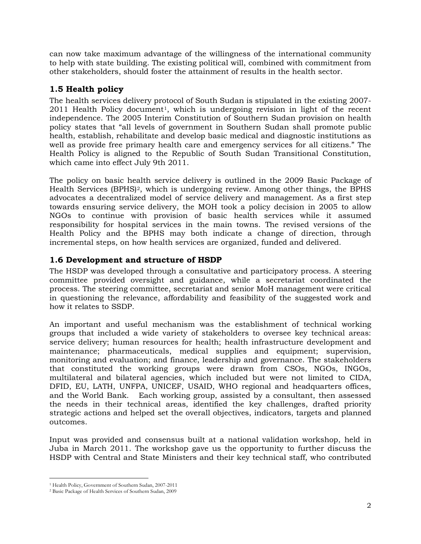can now take maximum advantage of the willingness of the international community to help with state building. The existing political will, combined with commitment from other stakeholders, should foster the attainment of results in the health sector.

# <span id="page-13-0"></span>**1.5 Health policy**

The health services delivery protocol of South Sudan is stipulated in the existing 2007- 2011 Health Policy document[1](#page-13-2) , which is undergoing revision in light of the recent independence. The 2005 Interim Constitution of Southern Sudan provision on health policy states that "all levels of government in Southern Sudan shall promote public health, establish, rehabilitate and develop basic medical and diagnostic institutions as well as provide free primary health care and emergency services for all citizens." The Health Policy is aligned to the Republic of South Sudan Transitional Constitution, which came into effect July 9th 2011.

The policy on basic health service delivery is outlined in the 2009 Basic Package of Health Services (BPHS) [2](#page-13-3) , which is undergoing review. Among other things, the BPHS advocates a decentralized model of service delivery and management. As a first step towards ensuring service delivery, the MOH took a policy decision in 2005 to allow NGOs to continue with provision of basic health services while it assumed responsibility for hospital services in the main towns. The revised versions of the Health Policy and the BPHS may both indicate a change of direction, through incremental steps, on how health services are organized, funded and delivered.

# <span id="page-13-1"></span>**1.6 Development and structure of HSDP**

The HSDP was developed through a consultative and participatory process. A steering committee provided oversight and guidance, while a secretariat coordinated the process. The steering committee, secretariat and senior MoH management were critical in questioning the relevance, affordability and feasibility of the suggested work and how it relates to SSDP.

An important and useful mechanism was the establishment of technical working groups that included a wide variety of stakeholders to oversee key technical areas: service delivery; human resources for health; health infrastructure development and maintenance; pharmaceuticals, medical supplies and equipment; supervision, monitoring and evaluation; and finance, leadership and governance. The stakeholders that constituted the working groups were drawn from CSOs, NGOs, INGOs, multilateral and bilateral agencies, which included but were not limited to CIDA, DFID, EU, LATH, UNFPA, UNICEF, USAID, WHO regional and headquarters offices, and the World Bank. Each working group, assisted by a consultant, then assessed the needs in their technical areas, identified the key challenges, drafted priority strategic actions and helped set the overall objectives, indicators, targets and planned outcomes.

Input was provided and consensus built at a national validation workshop, held in Juba in March 2011. The workshop gave us the opportunity to further discuss the HSDP with Central and State Ministers and their key technical staff, who contributed

 $\overline{a}$ <sup>1</sup> Health Policy, Government of Southern Sudan, 2007-2011

<span id="page-13-3"></span><span id="page-13-2"></span><sup>2</sup> Basic Package of Health Services of Southern Sudan, 2009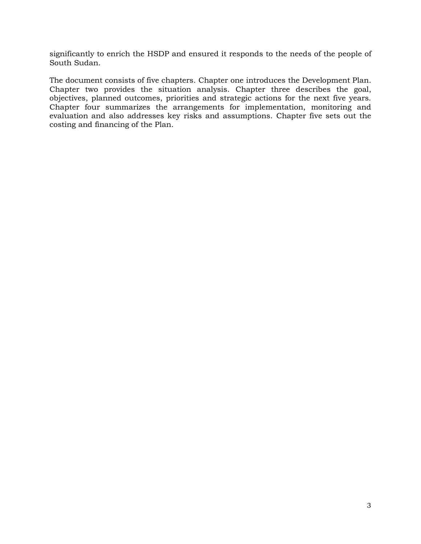significantly to enrich the HSDP and ensured it responds to the needs of the people of South Sudan.

The document consists of five chapters. Chapter one introduces the Development Plan. Chapter two provides the situation analysis. Chapter three describes the goal, objectives, planned outcomes, priorities and strategic actions for the next five years. Chapter four summarizes the arrangements for implementation, monitoring and evaluation and also addresses key risks and assumptions. Chapter five sets out the costing and financing of the Plan.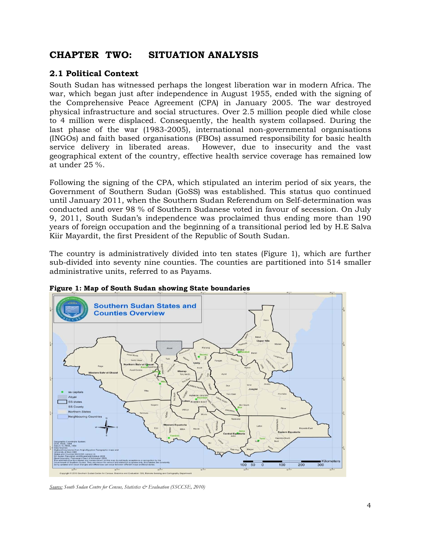# <span id="page-15-0"></span>**CHAPTER TWO: SITUATION ANALYSIS**

# <span id="page-15-1"></span>**2.1 Political Context**

South Sudan has witnessed perhaps the longest liberation war in modern Africa. The war, which began just after independence in August 1955, ended with the signing of the Comprehensive Peace Agreement (CPA) in January 2005. The war destroyed physical infrastructure and social structures. Over 2.5 million people died while close to 4 million were displaced. Consequently, the health system collapsed. During the last phase of the war (1983-2005), international non-governmental organisations (INGOs) and faith based organisations (FBOs) assumed responsibility for basic health service delivery in liberated areas. However, due to insecurity and the vast geographical extent of the country, effective health service coverage has remained low at under 25 %.

Following the signing of the CPA, which stipulated an interim period of six years, the Government of Southern Sudan (GoSS) was established. This status quo continued until January 2011, when the Southern Sudan Referendum on Self-determination was conducted and over 98 % of Southern Sudanese voted in favour of secession. On July 9, 2011, South Sudan's independence was proclaimed thus ending more than 190 years of foreign occupation and the beginning of a transitional period led by H.E Salva Kiir Mayardit, the first President of the Republic of South Sudan.

The country is administratively divided into ten states (Figure 1), which are further sub-divided into seventy nine counties. The counties are partitioned into 514 smaller administrative units, referred to as Payams.



<span id="page-15-2"></span>**Figure 1: Map of South Sudan showing State boundaries**

*Source: South Sudan Centre for Census, Statistics & Evaluation (SSCCSE, 2010)*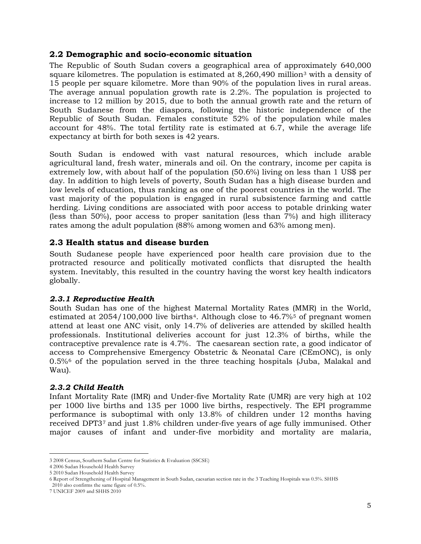#### **2.2 Demographic and socio-economic situation**

<span id="page-16-0"></span>The Republic of South Sudan covers a geographical area of approximately 640,000 square kilometres. The population is estimated at 8,260,490 million<sup>[3](#page-16-4)</sup> with a density of 15 people per square kilometre. More than 90% of the population lives in rural areas. The average annual population growth rate is 2.2%. The population is projected to increase to 12 million by 2015, due to both the annual growth rate and the return of South Sudanese from the diaspora, following the historic independence of the Republic of South Sudan. Females constitute 52% of the population while males account for 48%. The total fertility rate is estimated at 6.7, while the average life expectancy at birth for both sexes is 42 years.

South Sudan is endowed with vast natural resources, which include arable agricultural land, fresh water, minerals and oil. On the contrary, income per capita is extremely low, with about half of the population (50.6%) living on less than 1 US\$ per day. In addition to high levels of poverty, South Sudan has a high disease burden and low levels of education, thus ranking as one of the poorest countries in the world. The vast majority of the population is engaged in rural subsistence farming and cattle herding. Living conditions are associated with poor access to potable drinking water (less than 50%), poor access to proper sanitation (less than 7%) and high illiteracy rates among the adult population (88% among women and 63% among men).

# <span id="page-16-1"></span>**2.3 Health status and disease burden**

South Sudanese people have experienced poor health care provision due to the protracted resource and politically motivated conflicts that disrupted the health system. Inevitably, this resulted in the country having the worst key health indicators globally.

### <span id="page-16-2"></span>*2.3.1 Reproductive Health*

South Sudan has one of the highest Maternal Mortality Rates (MMR) in the World, estimated at  $2054/100,000$  $2054/100,000$  $2054/100,000$  live births<sup>4</sup>. Although close to  $46.7\%$ <sup>[5](#page-16-6)</sup> of pregnant women attend at least one ANC visit, only 14.7% of deliveries are attended by skilled health professionals. Institutional deliveries account for just 12.3% of births, while the contraceptive prevalence rate is 4.7%. The caesarean section rate, a good indicator of access to Comprehensive Emergency Obstetric & Neonatal Care (CEmONC), is only 0.5%[6](#page-16-7) of the population served in the three teaching hospitals (Juba, Malakal and Wau).

### <span id="page-16-3"></span>*2.3.2 Child Health*

Infant Mortality Rate (IMR) and Under-five Mortality Rate (UMR) are very high at 102 per 1000 live births and 135 per 1000 live births, respectively. The EPI programme performance is suboptimal with only 13.8% of children under 12 months having received DPT3[7](#page-16-8) and just 1.8% children under-five years of age fully immunised. Other major causes of infant and under-five morbidity and mortality are malaria,

 $\overline{a}$ 3 2008 Census, Southern Sudan Centre for Statistics & Evaluation (SSCSE)

<span id="page-16-5"></span><span id="page-16-4"></span><sup>4</sup> 2006 Sudan Household Health Survey

<span id="page-16-6"></span><sup>5</sup> 2010 Sudan Household Health Survey

<span id="page-16-7"></span><sup>6</sup> Report of Strengthening of Hospital Management in South Sudan, caesarian section rate in the 3 Teaching Hospitals was 0.5%. SHHS

 <sup>2010</sup> also confirms the same figure of 0.5%.

<span id="page-16-8"></span><sup>7</sup> UNICEF 2009 and SHHS 2010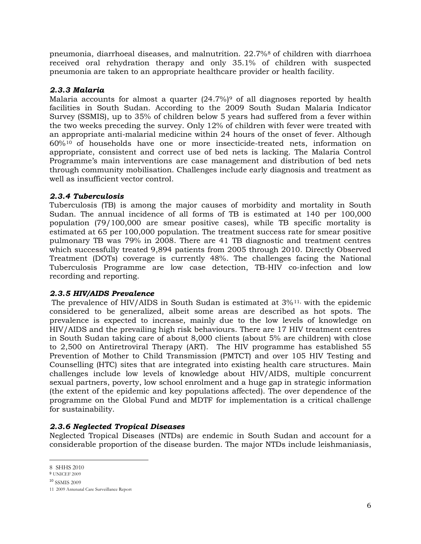pneumonia, diarrhoeal diseases, and malnutrition. 22.7%[8](#page-17-4) of children with diarrhoea received oral rehydration therapy and only 35.1% of children with suspected pneumonia are taken to an appropriate healthcare provider or health facility.

#### <span id="page-17-0"></span>*2.3.3 Malaria*

Malaria accounts for almost a quarter  $(24.7%)$ <sup>[9](#page-17-5)</sup> of all diagnoses reported by health facilities in South Sudan. According to the 2009 South Sudan Malaria Indicator Survey (SSMIS), up to 35% of children below 5 years had suffered from a fever within the two weeks preceding the survey. Only 12% of children with fever were treated with an appropriate anti-malarial medicine within 24 hours of the onset of fever. Although 60%[10](#page-17-6) of households have one or more insecticide-treated nets, information on appropriate, consistent and correct use of bed nets is lacking. The Malaria Control Programme's main interventions are case management and distribution of bed nets through community mobilisation. Challenges include early diagnosis and treatment as well as insufficient vector control.

#### <span id="page-17-1"></span>*2.3.4 Tuberculosis*

Tuberculosis (TB) is among the major causes of morbidity and mortality in South Sudan. The annual incidence of all forms of TB is estimated at 140 per 100,000 population (79/100,000 are smear positive cases), while TB specific mortality is estimated at 65 per 100,000 population. The treatment success rate for smear positive pulmonary TB was 79% in 2008. There are 41 TB diagnostic and treatment centres which successfully treated 9,894 patients from 2005 through 2010. Directly Observed Treatment (DOTs) coverage is currently 48%. The challenges facing the National Tuberculosis Programme are low case detection, TB-HIV co-infection and low recording and reporting.

#### <span id="page-17-2"></span>*2.3.5 HIV/AIDS Prevalence*

The prevalence of HIV/AIDS in South Sudan is estimated at  $3\frac{1}{1}$ , with the epidemic considered to be generalized, albeit some areas are described as hot spots. The prevalence is expected to increase, mainly due to the low levels of knowledge on HIV/AIDS and the prevailing high risk behaviours. There are 17 HIV treatment centres in South Sudan taking care of about 8,000 clients (about 5% are children) with close to 2,500 on Antiretroviral Therapy (ART). The HIV programme has established 55 Prevention of Mother to Child Transmission (PMTCT) and over 105 HIV Testing and Counselling (HTC) sites that are integrated into existing health care structures. Main challenges include low levels of knowledge about HIV/AIDS, multiple concurrent sexual partners, poverty, low school enrolment and a huge gap in strategic information (the extent of the epidemic and key populations affected). The over dependence of the programme on the Global Fund and MDTF for implementation is a critical challenge for sustainability.

#### <span id="page-17-3"></span>*2.3.6 Neglected Tropical Diseases*

Neglected Tropical Diseases (NTDs) are endemic in South Sudan and account for a considerable proportion of the disease burden. The major NTDs include leishmaniasis,

 $\overline{a}$ 8 SHHS 2010

<span id="page-17-5"></span><span id="page-17-4"></span><sup>9</sup> UNICEF 2009

<span id="page-17-6"></span><sup>10</sup> SSMIS 2009

<span id="page-17-7"></span><sup>11</sup> 2009 Antenatal Care Surveillance Report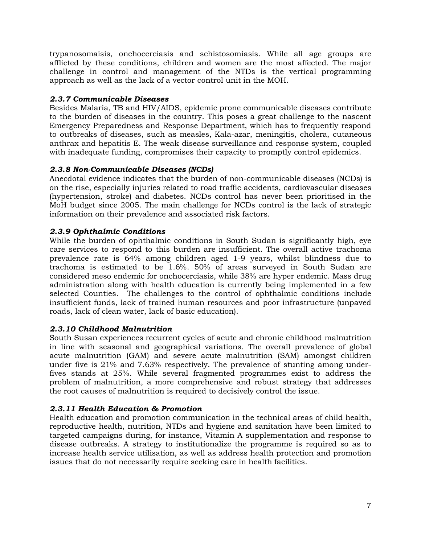trypanosomaisis, onchocerciasis and schistosomiasis. While all age groups are afflicted by these conditions, children and women are the most affected. The major challenge in control and management of the NTDs is the vertical programming approach as well as the lack of a vector control unit in the MOH.

#### <span id="page-18-0"></span>*2.3.7 Communicable Diseases*

Besides Malaria, TB and HIV/AIDS, epidemic prone communicable diseases contribute to the burden of diseases in the country. This poses a great challenge to the nascent Emergency Preparedness and Response Department, which has to frequently respond to outbreaks of diseases, such as measles, Kala-azar, meningitis, cholera, cutaneous anthrax and hepatitis E. The weak disease surveillance and response system, coupled with inadequate funding, compromises their capacity to promptly control epidemics.

### <span id="page-18-1"></span>*2.3.8 Non-Communicable Diseases (NCDs)*

Anecdotal evidence indicates that the burden of non-communicable diseases (NCDs) is on the rise, especially injuries related to road traffic accidents, cardiovascular diseases (hypertension, stroke) and diabetes. NCDs control has never been prioritised in the MoH budget since 2005. The main challenge for NCDs control is the lack of strategic information on their prevalence and associated risk factors.

#### <span id="page-18-2"></span>*2.3.9 Ophthalmic Conditions*

While the burden of ophthalmic conditions in South Sudan is significantly high, eye care services to respond to this burden are insufficient. The overall active trachoma prevalence rate is 64% among children aged 1-9 years, whilst blindness due to trachoma is estimated to be 1.6%. 50% of areas surveyed in South Sudan are considered meso endemic for onchocerciasis, while 38% are hyper endemic. Mass drug administration along with health education is currently being implemented in a few selected Counties. The challenges to the control of ophthalmic conditions include insufficient funds, lack of trained human resources and poor infrastructure (unpaved roads, lack of clean water, lack of basic education).

#### <span id="page-18-3"></span>*2.3.10 Childhood Malnutrition*

South Susan experiences recurrent cycles of acute and chronic childhood malnutrition in line with seasonal and geographical variations. The overall prevalence of global acute malnutrition (GAM) and severe acute malnutrition (SAM) amongst children under five is 21% and 7.63% respectively. The prevalence of stunting among underfives stands at 25%. While several fragmented programmes exist to address the problem of malnutrition, a more comprehensive and robust strategy that addresses the root causes of malnutrition is required to decisively control the issue.

### <span id="page-18-4"></span>*2.3.11 Health Education & Promotion*

Health education and promotion communication in the technical areas of child health, reproductive health, nutrition, NTDs and hygiene and sanitation have been limited to targeted campaigns during, for instance, Vitamin A supplementation and response to disease outbreaks. A strategy to institutionalize the programme is required so as to increase health service utilisation, as well as address health protection and promotion issues that do not necessarily require seeking care in health facilities.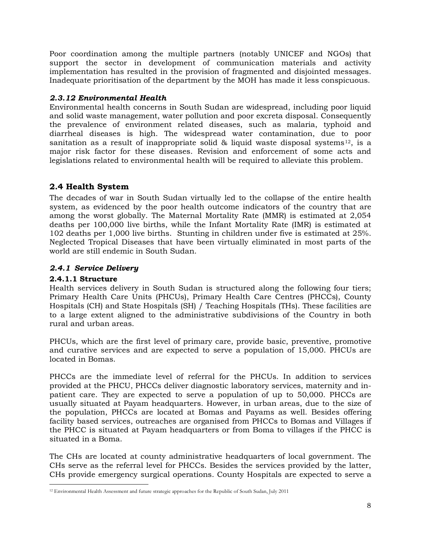Poor coordination among the multiple partners (notably UNICEF and NGOs) that support the sector in development of communication materials and activity implementation has resulted in the provision of fragmented and disjointed messages. Inadequate prioritisation of the department by the MOH has made it less conspicuous.

#### <span id="page-19-0"></span>*2.3.12 Environmental Health*

Environmental health concerns in South Sudan are widespread, including poor liquid and solid waste management, water pollution and poor excreta disposal. Consequently the prevalence of environment related diseases, such as malaria, typhoid and diarrheal diseases is high. The widespread water contamination, due to poor sanitation as a result of inappropriate solid & liquid waste disposal systems<sup>[12](#page-19-3)</sup>, is a major risk factor for these diseases. Revision and enforcement of some acts and legislations related to environmental health will be required to alleviate this problem.

# <span id="page-19-1"></span>**2.4 Health System**

The decades of war in South Sudan virtually led to the collapse of the entire health system, as evidenced by the poor health outcome indicators of the country that are among the worst globally. The Maternal Mortality Rate (MMR) is estimated at 2,054 deaths per 100,000 live births, while the Infant Mortality Rate (IMR) is estimated at 102 deaths per 1,000 live births. Stunting in children under five is estimated at 25%. Neglected Tropical Diseases that have been virtually eliminated in most parts of the world are still endemic in South Sudan.

#### <span id="page-19-2"></span>*2.4.1 Service Delivery*

#### **2.4.1.1 Structure**

Health services delivery in South Sudan is structured along the following four tiers; Primary Health Care Units (PHCUs), Primary Health Care Centres (PHCCs), County Hospitals (CH) and State Hospitals (SH) / Teaching Hospitals (THs). These facilities are to a large extent aligned to the administrative subdivisions of the Country in both rural and urban areas.

PHCUs, which are the first level of primary care, provide basic, preventive, promotive and curative services and are expected to serve a population of 15,000. PHCUs are located in Bomas.

PHCCs are the immediate level of referral for the PHCUs. In addition to services provided at the PHCU, PHCCs deliver diagnostic laboratory services, maternity and inpatient care. They are expected to serve a population of up to 50,000. PHCCs are usually situated at Payam headquarters. However, in urban areas, due to the size of the population, PHCCs are located at Bomas and Payams as well. Besides offering facility based services, outreaches are organised from PHCCs to Bomas and Villages if the PHCC is situated at Payam headquarters or from Boma to villages if the PHCC is situated in a Boma.

The CHs are located at county administrative headquarters of local government. The CHs serve as the referral level for PHCCs. Besides the services provided by the latter, CHs provide emergency surgical operations. County Hospitals are expected to serve a

<span id="page-19-3"></span> $\overline{a}$ <sup>12</sup> Environmental Health Assessment and future strategic approaches for the Republic of South Sudan, July 2011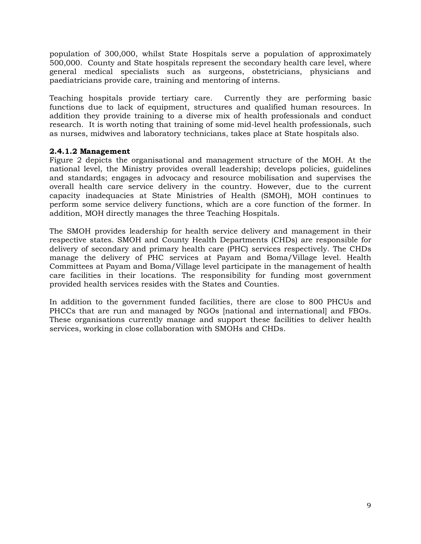population of 300,000, whilst State Hospitals serve a population of approximately 500,000. County and State hospitals represent the secondary health care level, where general medical specialists such as surgeons, obstetricians, physicians and paediatricians provide care, training and mentoring of interns.

Teaching hospitals provide tertiary care. Currently they are performing basic functions due to lack of equipment, structures and qualified human resources. In addition they provide training to a diverse mix of health professionals and conduct research. It is worth noting that training of some mid-level health professionals, such as nurses, midwives and laboratory technicians, takes place at State hospitals also.

#### **2.4.1.2 Management**

Figure 2 depicts the organisational and management structure of the MOH. At the national level, the Ministry provides overall leadership; develops policies, guidelines and standards; engages in advocacy and resource mobilisation and supervises the overall health care service delivery in the country. However, due to the current capacity inadequacies at State Ministries of Health (SMOH), MOH continues to perform some service delivery functions, which are a core function of the former. In addition, MOH directly manages the three Teaching Hospitals.

The SMOH provides leadership for health service delivery and management in their respective states. SMOH and County Health Departments (CHDs) are responsible for delivery of secondary and primary health care (PHC) services respectively. The CHDs manage the delivery of PHC services at Payam and Boma/Village level. Health Committees at Payam and Boma/Village level participate in the management of health care facilities in their locations. The responsibility for funding most government provided health services resides with the States and Counties.

In addition to the government funded facilities, there are close to 800 PHCUs and PHCCs that are run and managed by NGOs [national and international] and FBOs. These organisations currently manage and support these facilities to deliver health services, working in close collaboration with SMOHs and CHDs.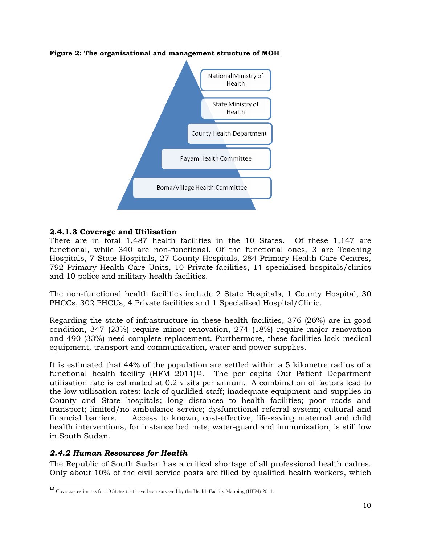

#### <span id="page-21-1"></span>**Figure 2: The organisational and management structure of MOH**

#### **2.4.1.3 Coverage and Utilisation**

There are in total 1,487 health facilities in the 10 States. Of these 1,147 are functional, while 340 are non-functional. Of the functional ones, 3 are Teaching Hospitals, 7 State Hospitals, 27 County Hospitals, 284 Primary Health Care Centres, 792 Primary Health Care Units, 10 Private facilities, 14 specialised hospitals/clinics and 10 police and military health facilities.

The non-functional health facilities include 2 State Hospitals, 1 County Hospital, 30 PHCCs, 302 PHCUs, 4 Private facilities and 1 Specialised Hospital/Clinic.

Regarding the state of infrastructure in these health facilities, 376 (26%) are in good condition, 347 (23%) require minor renovation, 274 (18%) require major renovation and 490 (33%) need complete replacement. Furthermore, these facilities lack medical equipment, transport and communication, water and power supplies.

It is estimated that 44% of the population are settled within a 5 kilometre radius of a functional health facility (HFM 2011)[13](#page-21-2) . The per capita Out Patient Department utilisation rate is estimated at 0.2 visits per annum. A combination of factors lead to the low utilisation rates: lack of qualified staff; inadequate equipment and supplies in County and State hospitals; long distances to health facilities; poor roads and transport; limited/no ambulance service; dysfunctional referral system; cultural and financial barriers. Access to known, cost-effective, life-saving maternal and child health interventions, for instance bed nets, water-guard and immunisation, is still low in South Sudan.

#### <span id="page-21-0"></span>*2.4.2 Human Resources for Health*

The Republic of South Sudan has a critical shortage of all professional health cadres. Only about 10% of the civil service posts are filled by qualified health workers, which

<span id="page-21-2"></span><sup>13</sup> Coverage estimates for 10 States that have been surveyed by the Health Facility Mapping (HFM) 2011.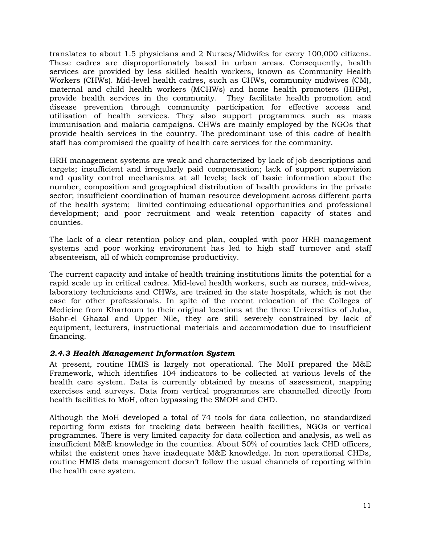translates to about 1.5 physicians and 2 Nurses/Midwifes for every 100,000 citizens. These cadres are disproportionately based in urban areas. Consequently, health services are provided by less skilled health workers, known as Community Health Workers (CHWs). Mid-level health cadres, such as CHWs, community midwives (CM), maternal and child health workers (MCHWs) and home health promoters (HHPs), provide health services in the community. They facilitate health promotion and disease prevention through community participation for effective access and utilisation of health services. They also support programmes such as mass immunisation and malaria campaigns. CHWs are mainly employed by the NGOs that provide health services in the country. The predominant use of this cadre of health staff has compromised the quality of health care services for the community.

HRH management systems are weak and characterized by lack of job descriptions and targets; insufficient and irregularly paid compensation; lack of support supervision and quality control mechanisms at all levels; lack of basic information about the number, composition and geographical distribution of health providers in the private sector; insufficient coordination of human resource development across different parts of the health system; limited continuing educational opportunities and professional development; and poor recruitment and weak retention capacity of states and counties.

The lack of a clear retention policy and plan, coupled with poor HRH management systems and poor working environment has led to high staff turnover and staff absenteeism, all of which compromise productivity.

The current capacity and intake of health training institutions limits the potential for a rapid scale up in critical cadres. Mid-level health workers, such as nurses, mid-wives, laboratory technicians and CHWs, are trained in the state hospitals, which is not the case for other professionals. In spite of the recent relocation of the Colleges of Medicine from Khartoum to their original locations at the three Universities of Juba, Bahr-el Ghazal and Upper Nile, they are still severely constrained by lack of equipment, lecturers, instructional materials and accommodation due to insufficient financing.

#### <span id="page-22-0"></span>*2.4.3 Health Management Information System*

At present, routine HMIS is largely not operational. The MoH prepared the M&E Framework, which identifies 104 indicators to be collected at various levels of the health care system. Data is currently obtained by means of assessment, mapping exercises and surveys. Data from vertical programmes are channelled directly from health facilities to MoH, often bypassing the SMOH and CHD.

Although the MoH developed a total of 74 tools for data collection, no standardized reporting form exists for tracking data between health facilities, NGOs or vertical programmes. There is very limited capacity for data collection and analysis, as well as insufficient M&E knowledge in the counties. About 50% of counties lack CHD officers, whilst the existent ones have inadequate M&E knowledge. In non operational CHDs, routine HMIS data management doesn't follow the usual channels of reporting within the health care system.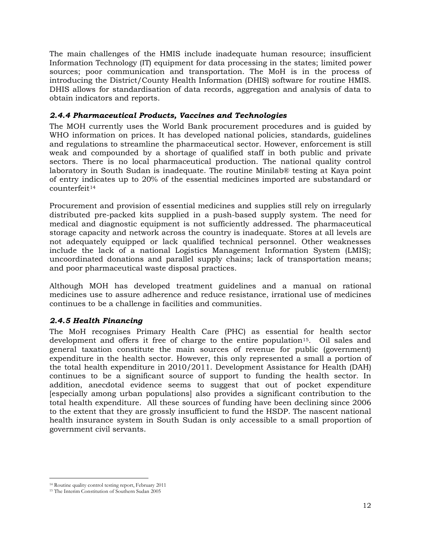The main challenges of the HMIS include inadequate human resource; insufficient Information Technology (IT) equipment for data processing in the states; limited power sources; poor communication and transportation. The MoH is in the process of introducing the District/County Health Information (DHIS) software for routine HMIS. DHIS allows for standardisation of data records, aggregation and analysis of data to obtain indicators and reports.

### <span id="page-23-0"></span>*2.4.4 Pharmaceutical Products, Vaccines and Technologies*

The MOH currently uses the World Bank procurement procedures and is guided by WHO information on prices. It has developed national policies, standards, guidelines and regulations to streamline the pharmaceutical sector. However, enforcement is still weak and compounded by a shortage of qualified staff in both public and private sectors. There is no local pharmaceutical production. The national quality control laboratory in South Sudan is inadequate. The routine Minilab® testing at Kaya point of entry indicates up to 20% of the essential medicines imported are substandard or counterfeit<sup>[14](#page-23-2)</sup>

Procurement and provision of essential medicines and supplies still rely on irregularly distributed pre-packed kits supplied in a push-based supply system. The need for medical and diagnostic equipment is not sufficiently addressed. The pharmaceutical storage capacity and network across the country is inadequate. Stores at all levels are not adequately equipped or lack qualified technical personnel. Other weaknesses include the lack of a national Logistics Management Information System (LMIS); uncoordinated donations and parallel supply chains; lack of transportation means; and poor pharmaceutical waste disposal practices.

Although MOH has developed treatment guidelines and a manual on rational medicines use to assure adherence and reduce resistance, irrational use of medicines continues to be a challenge in facilities and communities.

# <span id="page-23-1"></span>*2.4.5 Health Financing*

The MoH recognises Primary Health Care (PHC) as essential for health sector development and offers it free of charge to the entire population<sup>15</sup>. Oil sales and general taxation constitute the main sources of revenue for public (government) expenditure in the health sector. However, this only represented a small a portion of the total health expenditure in 2010/2011. Development Assistance for Health (DAH) continues to be a significant source of support to funding the health sector. In addition, anecdotal evidence seems to suggest that out of pocket expenditure [especially among urban populations] also provides a significant contribution to the total health expenditure. All these sources of funding have been declining since 2006 to the extent that they are grossly insufficient to fund the HSDP. The nascent national health insurance system in South Sudan is only accessible to a small proportion of government civil servants.

 $\overline{a}$ <sup>14</sup> Routine quality control testing report, February 2011

<span id="page-23-3"></span><span id="page-23-2"></span><sup>15</sup> The Interim Constitution of Southern Sudan 2005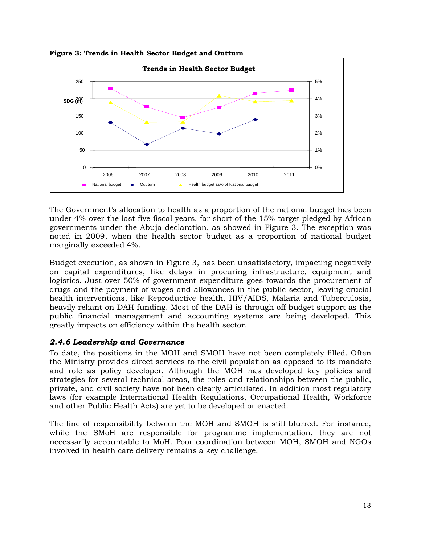



The Government's allocation to health as a proportion of the national budget has been under 4% over the last five fiscal years, far short of the 15% target pledged by African governments under the Abuja declaration, as showed in Figure 3. The exception was noted in 2009, when the health sector budget as a proportion of national budget marginally exceeded 4%.

Budget execution, as shown in Figure 3, has been unsatisfactory, impacting negatively on capital expenditures, like delays in procuring infrastructure, equipment and logistics. Just over 50% of government expenditure goes towards the procurement of drugs and the payment of wages and allowances in the public sector, leaving crucial health interventions, like Reproductive health, HIV/AIDS, Malaria and Tuberculosis, heavily reliant on DAH funding. Most of the DAH is through off budget support as the public financial management and accounting systems are being developed. This greatly impacts on efficiency within the health sector.

### <span id="page-24-0"></span>*2.4.6 Leadership and Governance*

To date, the positions in the MOH and SMOH have not been completely filled. Often the Ministry provides direct services to the civil population as opposed to its mandate and role as policy developer. Although the MOH has developed key policies and strategies for several technical areas, the roles and relationships between the public, private, and civil society have not been clearly articulated. In addition most regulatory laws (for example International Health Regulations, Occupational Health, Workforce and other Public Health Acts) are yet to be developed or enacted.

The line of responsibility between the MOH and SMOH is still blurred. For instance, while the SMoH are responsible for programme implementation, they are not necessarily accountable to MoH. Poor coordination between MOH, SMOH and NGOs involved in health care delivery remains a key challenge.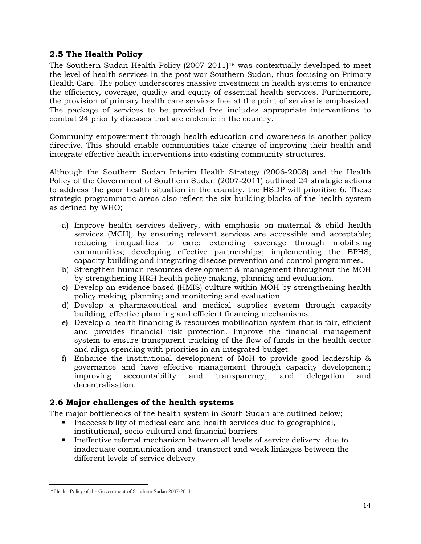# **2.5 The Health Policy**

<span id="page-25-0"></span>The Southern Sudan Health Policy (2007-2011)[16](#page-25-2) was contextually developed to meet the level of health services in the post war Southern Sudan, thus focusing on Primary Health Care. The policy underscores massive investment in health systems to enhance the efficiency, coverage, quality and equity of essential health services. Furthermore, the provision of primary health care services free at the point of service is emphasized. The package of services to be provided free includes appropriate interventions to combat 24 priority diseases that are endemic in the country.

Community empowerment through health education and awareness is another policy directive. This should enable communities take charge of improving their health and integrate effective health interventions into existing community structures.

Although the Southern Sudan Interim Health Strategy (2006-2008) and the Health Policy of the Government of Southern Sudan (2007-2011) outlined 24 strategic actions to address the poor health situation in the country, the HSDP will prioritise 6. These strategic programmatic areas also reflect the six building blocks of the health system as defined by WHO;

- a) Improve health services delivery, with emphasis on maternal & child health services (MCH), by ensuring relevant services are accessible and acceptable; reducing inequalities to care; extending coverage through mobilising communities; developing effective partnerships; implementing the BPHS; capacity building and integrating disease prevention and control programmes.
- b) Strengthen human resources development & management throughout the MOH by strengthening HRH health policy making, planning and evaluation.
- c) Develop an evidence based (HMIS) culture within MOH by strengthening health policy making, planning and monitoring and evaluation.
- d) Develop a pharmaceutical and medical supplies system through capacity building, effective planning and efficient financing mechanisms.
- e) Develop a health financing & resources mobilisation system that is fair, efficient and provides financial risk protection. Improve the financial management system to ensure transparent tracking of the flow of funds in the health sector and align spending with priorities in an integrated budget.
- f) Enhance the institutional development of MoH to provide good leadership & governance and have effective management through capacity development; improving accountability and transparency; and delegation and decentralisation.

# <span id="page-25-1"></span>**2.6 Major challenges of the health systems**

The major bottlenecks of the health system in South Sudan are outlined below;

- Inaccessibility of medical care and health services due to geographical, institutional, socio-cultural and financial barriers
- Ineffective referral mechanism between all levels of service delivery due to inadequate communication and transport and weak linkages between the different levels of service delivery

<span id="page-25-2"></span> $\overline{a}$ <sup>16</sup> Health Policy of the Government of Southern Sudan 2007-2011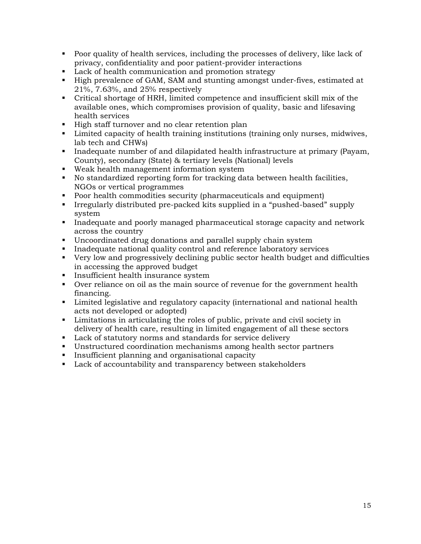- Poor quality of health services, including the processes of delivery, like lack of privacy, confidentiality and poor patient-provider interactions
- **Lack of health communication and promotion strategy**
- High prevalence of GAM, SAM and stunting amongst under-fives, estimated at 21%, 7.63%, and 25% respectively
- Critical shortage of HRH, limited competence and insufficient skill mix of the available ones, which compromises provision of quality, basic and lifesaving health services
- High staff turnover and no clear retention plan
- **EXECUTE:** Limited capacity of health training institutions (training only nurses, midwives, lab tech and CHWs)
- Inadequate number of and dilapidated health infrastructure at primary (Payam, County), secondary (State) & tertiary levels (National) levels
- Weak health management information system
- No standardized reporting form for tracking data between health facilities, NGOs or vertical programmes
- **Poor health commodities security (pharmaceuticals and equipment)**
- Irregularly distributed pre-packed kits supplied in a "pushed-based" supply system
- Inadequate and poorly managed pharmaceutical storage capacity and network across the country
- Uncoordinated drug donations and parallel supply chain system
- **Inadequate national quality control and reference laboratory services**
- Very low and progressively declining public sector health budget and difficulties in accessing the approved budget
- **Insufficient health insurance system**
- Over reliance on oil as the main source of revenue for the government health financing.
- Limited legislative and regulatory capacity (international and national health acts not developed or adopted)
- Limitations in articulating the roles of public, private and civil society in delivery of health care, resulting in limited engagement of all these sectors
- Lack of statutory norms and standards for service delivery
- Unstructured coordination mechanisms among health sector partners
- **Insufficient planning and organisational capacity**
- **Lack of accountability and transparency between stakeholders**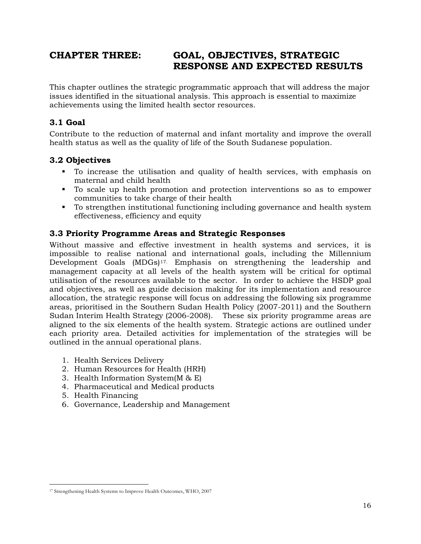# <span id="page-27-0"></span>**CHAPTER THREE: GOAL, OBJECTIVES, STRATEGIC RESPONSE AND EXPECTED RESULTS**

This chapter outlines the strategic programmatic approach that will address the major issues identified in the situational analysis. This approach is essential to maximize achievements using the limited health sector resources.

# <span id="page-27-1"></span>**3.1 Goal**

Contribute to the reduction of maternal and infant mortality and improve the overall health status as well as the quality of life of the South Sudanese population.

### <span id="page-27-2"></span>**3.2 Objectives**

- To increase the utilisation and quality of health services, with emphasis on maternal and child health
- To scale up health promotion and protection interventions so as to empower communities to take charge of their health
- To strengthen institutional functioning including governance and health system effectiveness, efficiency and equity

# <span id="page-27-3"></span>**3.3 Priority Programme Areas and Strategic Responses**

Without massive and effective investment in health systems and services, it is impossible to realise national and international goals, including the Millennium Development Goals (MDGs)[17](#page-27-4) . Emphasis on strengthening the leadership and management capacity at all levels of the health system will be critical for optimal utilisation of the resources available to the sector. In order to achieve the HSDP goal and objectives, as well as guide decision making for its implementation and resource allocation, the strategic response will focus on addressing the following six programme areas, prioritised in the Southern Sudan Health Policy (2007-2011) and the Southern Sudan Interim Health Strategy (2006-2008). These six priority programme areas are aligned to the six elements of the health system. Strategic actions are outlined under each priority area. Detailed activities for implementation of the strategies will be outlined in the annual operational plans.

- 1. Health Services Delivery
- 2. Human Resources for Health (HRH)
- 3. Health Information System(M & E)
- 4. Pharmaceutical and Medical products
- 5. Health Financing
- 6. Governance, Leadership and Management

<span id="page-27-4"></span> $\overline{a}$ <sup>17</sup> Strengthening Health Systems to Improve Health Outcomes, WHO, 2007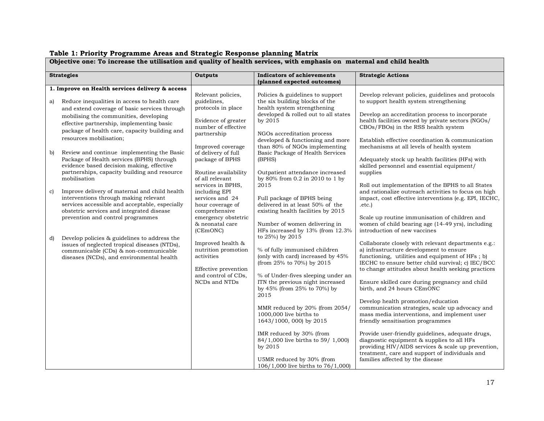#### <span id="page-28-0"></span>**Objective one: To increase the utilisation and quality of health services, with emphasis on maternal and child health Strategies Outputs Indicators of achievements (planned expected outcomes) Strategic Actions 1. Improve on Health services delivery & access** a) Reduce inequalities in access to health care and extend coverage of basic services through mobilising the communities, developing effective partnership, implementing basic package of health care, capacity building and resources mobilisation; b) Review and continue implementing the Basic Package of Health services (BPHS) through evidence based decision making, effective partnerships, capacity building and resource mobilisation c) Improve delivery of maternal and child health interventions through making relevant services accessible and acceptable, especially obstetric services and integrated disease prevention and control programmes d) Develop policies & guidelines to address the issues of neglected tropical diseases (NTDs), communicable (CDs) & non-communicable diseases (NCDs), and environmental health Relevant policies, guidelines, protocols in place Evidence of greater number of effective partnership Improved coverage of delivery of full package of BPHS Routine availability of all relevant services in BPHS, including EPI services and 24 hour coverage of comprehensive emergency obstetric & neonatal care (CEmONC) Improved health & nutrition promotion activities Effective prevention and control of CDs, NCDs and NTDs Policies & guidelines to support the six building blocks of the health system strengthening developed & rolled out to all states by 2015 NGOs accreditation process developed & functioning and more than 80% of NGOs implementing Basic Package of Health Services (BPHS) Outpatient attendance increased by 80% from 0.2 in 2010 to 1 by 2015 Full package of BPHS being delivered in at least 50% of the existing health facilities by 2015 Number of women delivering in HFs increased by 13% (from 12.3% to 25%) by 2015 % of fully immunised children (only with card) increased by 45% (from 25% to 70%) by 2015 % of Under-fives sleeping under an ITN the previous night increased by 45% (from 25% to 70%) by 2015 MMR reduced by 20% (from 2054/ 1000,000 live births to 1643/1000, 000) by 2015 IMR reduced by 30% (from 84/1,000 live births to 59/ 1,000) by 2015 Develop relevant policies, guidelines and protocols to support health system strengthening Develop an accreditation process to incorporate health facilities owned by private sectors (NGOs/ CBOs/FBOs) in the RSS health system Establish effective coordination & communication mechanisms at all levels of health system Adequately stock up health facilities (HFs) with skilled personnel and essential equipment/ supplies Roll out implementation of the BPHS to all States and rationalize outreach activities to focus on high impact, cost effective interventions (e.g. EPI, IECHC, .etc.) Scale up routine immunisation of children and women of child bearing age (14-49 yrs), including introduction of new vaccines Collaborate closely with relevant departments e.g.: a) infrastructure development to ensure functioning, utilities and equipment of HFs ; b) IECHC to ensure better child survival; c) IEC/BCC to change attitudes about health seeking practices Ensure skilled care during pregnancy and child birth, and 24 hours CEmONC Develop health promotion/education communication strategies, scale up advocacy and mass media interventions, and implement user friendly sensitisation programmes Provide user-friendly guidelines, adequate drugs, diagnostic equipment & supplies to all HFs providing HIV/AIDS services & scale up prevention, treatment, care and support of individuals and

U5MR reduced by 30% (from 106/1,000 live births to 76/1,000)

#### **Table 1: Priority Programme Areas and Strategic Response planning Matrix**

families affected by the disease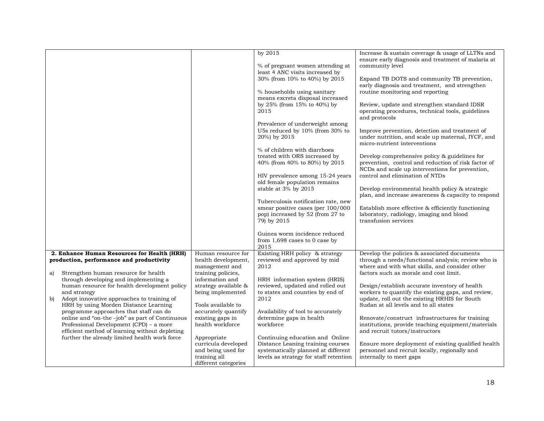|    |                                                                                                                                                                             |                                                                                                  | by 2015<br>% of pregnant women attending at<br>least 4 ANC visits increased by<br>30% (from 10% to 40%) by 2015<br>% households using sanitary<br>means excreta disposal increased<br>by 25% (from $15\%$ to 40%) by<br>2015<br>Prevalence of underweight among<br>U5s reduced by 10% (from 30% to<br>20%) by 2015<br>% of children with diarrhoea<br>treated with ORS increased by<br>40% (from 40% to 80%) by 2015<br>HIV prevalence among 15-24 years<br>old female population remains<br>stable at 3% by 2015<br>Tuberculosis notification rate, new<br>smear positive cases (per 100/000<br>pop) increased by 52 (from 27 to<br>79) by 2015<br>Guinea worm incidence reduced<br>from $1,698$ cases to 0 case by | Increase & sustain coverage & usage of LLTNs and<br>ensure early diagnosis and treatment of malaria at<br>community level<br>Expand TB DOTS and community TB prevention,<br>early diagnosis and treatment, and strengthen<br>routine monitoring and reporting<br>Review, update and strengthen standard IDSR<br>operating procedures, technical tools, guidelines<br>and protocols<br>Improve prevention, detection and treatment of<br>under nutrition, and scale up maternal, IYCF, and<br>micro-nutrient interventions<br>Develop comprehensive policy & guidelines for<br>prevention, control and reduction of risk factor of<br>NCDs and scale up interventions for prevention,<br>control and elimination of NTDs<br>Develop environmental health policy & strategic<br>plan, and increase awareness & capacity to respond<br>Establish more effective & efficiently functioning<br>laboratory, radiology, imaging and blood<br>transfusion services |
|----|-----------------------------------------------------------------------------------------------------------------------------------------------------------------------------|--------------------------------------------------------------------------------------------------|----------------------------------------------------------------------------------------------------------------------------------------------------------------------------------------------------------------------------------------------------------------------------------------------------------------------------------------------------------------------------------------------------------------------------------------------------------------------------------------------------------------------------------------------------------------------------------------------------------------------------------------------------------------------------------------------------------------------|------------------------------------------------------------------------------------------------------------------------------------------------------------------------------------------------------------------------------------------------------------------------------------------------------------------------------------------------------------------------------------------------------------------------------------------------------------------------------------------------------------------------------------------------------------------------------------------------------------------------------------------------------------------------------------------------------------------------------------------------------------------------------------------------------------------------------------------------------------------------------------------------------------------------------------------------------------|
|    |                                                                                                                                                                             |                                                                                                  | 2015                                                                                                                                                                                                                                                                                                                                                                                                                                                                                                                                                                                                                                                                                                                 |                                                                                                                                                                                                                                                                                                                                                                                                                                                                                                                                                                                                                                                                                                                                                                                                                                                                                                                                                            |
|    | 2. Enhance Human Resources for Health (HRH)                                                                                                                                 | Human resource for                                                                               | Existing HRH policy & strategy                                                                                                                                                                                                                                                                                                                                                                                                                                                                                                                                                                                                                                                                                       | Develop the policies & associated documents                                                                                                                                                                                                                                                                                                                                                                                                                                                                                                                                                                                                                                                                                                                                                                                                                                                                                                                |
| a) | production, performance and productivity<br>Strengthen human resource for health<br>through developing and implementing a                                                   | health development,<br>management and<br>training policies,<br>information and                   | reviewed and approved by mid<br>2012<br>HRH information system (HRIS)                                                                                                                                                                                                                                                                                                                                                                                                                                                                                                                                                                                                                                                | through a needs/functional analysis; review who is<br>where and with what skills, and consider other<br>factors such as morale and cost limit.                                                                                                                                                                                                                                                                                                                                                                                                                                                                                                                                                                                                                                                                                                                                                                                                             |
| b) | human resource for health development policy<br>and strategy<br>Adopt innovative approaches to training of                                                                  | strategy available &<br>being implemented                                                        | reviewed, updated and rolled out<br>to states and counties by end of<br>2012                                                                                                                                                                                                                                                                                                                                                                                                                                                                                                                                                                                                                                         | Design/establish accurate inventory of health<br>workers to quantify the existing gaps, and review,<br>update, roll out the existing HRHIS for South                                                                                                                                                                                                                                                                                                                                                                                                                                                                                                                                                                                                                                                                                                                                                                                                       |
|    | HRH by using Morden Distance Learning<br>programme approaches that staff can do<br>online and "on-the-job" as part of Continuous<br>Professional Development (CPD) - a more | Tools available to<br>accurately quantify<br>existing gaps in<br>health workforce                | Availability of tool to accurately<br>determine gaps in health<br>workforce                                                                                                                                                                                                                                                                                                                                                                                                                                                                                                                                                                                                                                          | Sudan at all levels and to all states<br>Renovate/construct infrastructures for training<br>institutions, provide teaching equipment/materials                                                                                                                                                                                                                                                                                                                                                                                                                                                                                                                                                                                                                                                                                                                                                                                                             |
|    | efficient method of learning without depleting<br>further the already limited health work force                                                                             | Appropriate<br>curricula developed<br>and being used for<br>training all<br>different categories | Continuing education and Online<br>Distance Leaning training courses<br>systematically planned at different<br>levels as strategy for staff retention                                                                                                                                                                                                                                                                                                                                                                                                                                                                                                                                                                | and recruit tutors/instructors<br>Ensure more deployment of existing qualified health<br>personnel and recruit locally, regionally and<br>internally to meet gaps                                                                                                                                                                                                                                                                                                                                                                                                                                                                                                                                                                                                                                                                                                                                                                                          |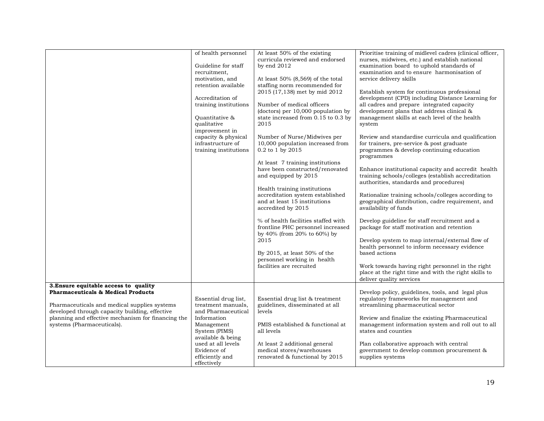|                                                                                                                                                                                                                                     | of health personnel<br>Guideline for staff<br>recruitment,<br>motivation, and<br>retention available<br>Accreditation of<br>training institutions<br>Ouantitative &<br>qualitative<br>improvement in<br>capacity & physical<br>infrastructure of<br>training institutions | At least 50% of the existing<br>curricula reviewed and endorsed<br>by end $2012$<br>At least $50\%$ (8,569) of the total<br>staffing norm recommended for<br>2015 (17,138) met by mid 2012<br>Number of medical officers<br>(doctors) per 10,000 population by<br>state increased from 0.15 to 0.3 by<br>2015<br>Number of Nurse/Midwives per<br>10,000 population increased from<br>0.2 to 1 by 2015<br>At least 7 training institutions<br>have been constructed/renovated<br>and equipped by 2015<br>Health training institutions<br>accreditation system established<br>and at least 15 institutions<br>accredited by 2015<br>% of health facilities staffed with<br>frontline PHC personnel increased<br>by 40% (from 20% to 60%) by<br>2015<br>By 2015, at least 50% of the<br>personnel working in health<br>facilities are recruited | Prioritise training of midlevel cadres (clinical officer,<br>nurses, midwives, etc.) and establish national<br>examination board to uphold standards of<br>examination and to ensure harmonisation of<br>service delivery skills<br>Establish system for continuous professional<br>development (CPD) including Distance Learning for<br>all cadres and prepare integrated capacity<br>development plans that address clinical &<br>management skills at each level of the health<br>system<br>Review and standardise curricula and qualification<br>for trainers, pre-service & post graduate<br>programmes & develop continuing education<br>programmes<br>Enhance institutional capacity and accredit health<br>training schools/colleges (establish accreditation<br>authorities, standards and procedures)<br>Rationalize training schools/colleges according to<br>geographical distribution, cadre requirement, and<br>availability of funds<br>Develop guideline for staff recruitment and a<br>package for staff motivation and retention<br>Develop system to map internal/external flow of<br>health personnel to inform necessary evidence<br>based actions<br>Work towards having right personnel in the right<br>place at the right time and with the right skills to<br>deliver quality services |
|-------------------------------------------------------------------------------------------------------------------------------------------------------------------------------------------------------------------------------------|---------------------------------------------------------------------------------------------------------------------------------------------------------------------------------------------------------------------------------------------------------------------------|----------------------------------------------------------------------------------------------------------------------------------------------------------------------------------------------------------------------------------------------------------------------------------------------------------------------------------------------------------------------------------------------------------------------------------------------------------------------------------------------------------------------------------------------------------------------------------------------------------------------------------------------------------------------------------------------------------------------------------------------------------------------------------------------------------------------------------------------|-----------------------------------------------------------------------------------------------------------------------------------------------------------------------------------------------------------------------------------------------------------------------------------------------------------------------------------------------------------------------------------------------------------------------------------------------------------------------------------------------------------------------------------------------------------------------------------------------------------------------------------------------------------------------------------------------------------------------------------------------------------------------------------------------------------------------------------------------------------------------------------------------------------------------------------------------------------------------------------------------------------------------------------------------------------------------------------------------------------------------------------------------------------------------------------------------------------------------------------------------------------------------------------------------------------------|
| 3. Ensure equitable access to quality                                                                                                                                                                                               |                                                                                                                                                                                                                                                                           |                                                                                                                                                                                                                                                                                                                                                                                                                                                                                                                                                                                                                                                                                                                                                                                                                                              |                                                                                                                                                                                                                                                                                                                                                                                                                                                                                                                                                                                                                                                                                                                                                                                                                                                                                                                                                                                                                                                                                                                                                                                                                                                                                                                 |
| <b>Pharmaceuticals &amp; Medical Products</b><br>Pharmaceuticals and medical supplies systems<br>developed through capacity building, effective<br>planning and effective mechanism for financing the<br>systems (Pharmaceuticals). | Essential drug list,<br>treatment manuals,<br>and Pharmaceutical<br>Information<br>Management<br>System (PIMS)<br>available & being<br>used at all levels<br>Evidence of                                                                                                  | Essential drug list & treatment<br>guidelines, disseminated at all<br>levels<br>PMIS established & functional at<br>all levels<br>At least 2 additional general<br>medical stores/warehouses                                                                                                                                                                                                                                                                                                                                                                                                                                                                                                                                                                                                                                                 | Develop policy, guidelines, tools, and legal plus<br>regulatory frameworks for management and<br>streamlining pharmaceutical sector<br>Review and finalize the existing Pharmaceutical<br>management information system and roll out to all<br>states and counties<br>Plan collaborative approach with central<br>government to develop common procurement &                                                                                                                                                                                                                                                                                                                                                                                                                                                                                                                                                                                                                                                                                                                                                                                                                                                                                                                                                    |
|                                                                                                                                                                                                                                     | efficiently and<br>effectively                                                                                                                                                                                                                                            | renovated & functional by 2015                                                                                                                                                                                                                                                                                                                                                                                                                                                                                                                                                                                                                                                                                                                                                                                                               | supplies systems                                                                                                                                                                                                                                                                                                                                                                                                                                                                                                                                                                                                                                                                                                                                                                                                                                                                                                                                                                                                                                                                                                                                                                                                                                                                                                |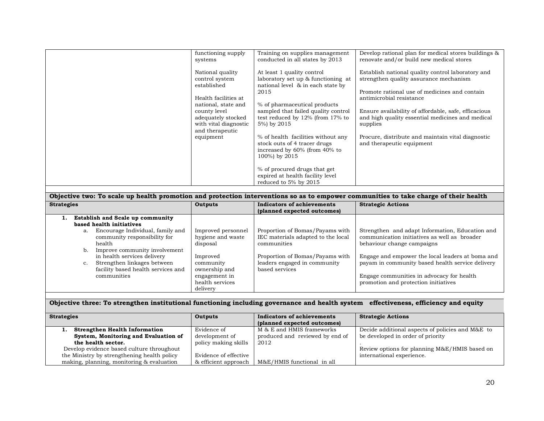| systems | functioning supply                                                                                    | Training on supplies management<br>conducted in all states by 2013                                                     | Develop rational plan for medical stores buildings &<br>renovate and/or build new medical stores                                                                         |
|---------|-------------------------------------------------------------------------------------------------------|------------------------------------------------------------------------------------------------------------------------|--------------------------------------------------------------------------------------------------------------------------------------------------------------------------|
|         | National quality<br>control system<br>established<br>Health facilities at                             | At least 1 quality control<br>laboratory set up & functioning at<br>national level & in each state by<br>2015          | Establish national quality control laboratory and<br>strengthen quality assurance mechanism<br>Promote rational use of medicines and contain<br>antimicrobial resistance |
|         | national, state and<br>county level<br>adequately stocked<br>with vital diagnostic<br>and therapeutic | % of pharmaceutical products<br>sampled that failed quality control<br>test reduced by 12% (from 17% to<br>5%) by 2015 | Ensure availability of affordable, safe, efficacious<br>and high quality essential medicines and medical<br>supplies                                                     |
|         | equipment                                                                                             | % of health facilities without any<br>stock outs of 4 tracer drugs<br>increased by 60% (from 40% to<br>100%) by 2015   | Procure, distribute and maintain vital diagnostic<br>and therapeutic equipment                                                                                           |
|         |                                                                                                       | % of procured drugs that get<br>expired at health facility level<br>reduced to 5% by 2015                              |                                                                                                                                                                          |

| Objective two: To scale up health promotion and protection interventions so as to empower communities to take charge of their health |                                                     |                                                                                      |                                                                                                                               |
|--------------------------------------------------------------------------------------------------------------------------------------|-----------------------------------------------------|--------------------------------------------------------------------------------------|-------------------------------------------------------------------------------------------------------------------------------|
| <b>Strategies</b>                                                                                                                    | Outputs                                             | <b>Indicators of achievements</b>                                                    | <b>Strategic Actions</b>                                                                                                      |
|                                                                                                                                      |                                                     | (planned expected outcomes)                                                          |                                                                                                                               |
| <b>Establish and Scale up community</b><br>1.                                                                                        |                                                     |                                                                                      |                                                                                                                               |
| based health initiatives                                                                                                             |                                                     |                                                                                      |                                                                                                                               |
| Encourage Individual, family and<br>a.<br>community responsibility for<br>health<br>Improve community involvement<br>b.              | Improved personnel<br>hygiene and waste<br>disposal | Proportion of Bomas/Payams with<br>IEC materials adapted to the local<br>communities | Strengthen and adapt Information, Education and<br>communication initiatives as well as broader<br>behaviour change campaigns |
| in health services delivery<br>Strengthen linkages between<br>c.<br>facility based health services and                               | Improved<br>community<br>ownership and              | Proportion of Bomas/Payams with<br>leaders engaged in community<br>based services    | Engage and empower the local leaders at boma and<br>payam in community based health service delivery                          |
| communities                                                                                                                          | engagement in<br>health services<br>delivery        |                                                                                      | Engage communities in advocacy for health.<br>promotion and protection initiatives                                            |

#### **Objective three: To strengthen institutional functioning including governance and health system effectiveness, efficiency and equity**

| <b>Strategies</b>                           | Outputs               | Indicators of achievements      | <b>Strategic Actions</b>                         |
|---------------------------------------------|-----------------------|---------------------------------|--------------------------------------------------|
|                                             |                       | (planned expected outcomes)     |                                                  |
| <b>Strengthen Health Information</b>        | Evidence of           | M & E and HMIS frameworks       | Decide additional aspects of policies and M&E to |
| System, Monitoring and Evaluation of        | development of        | produced and reviewed by end of | be developed in order of priority                |
| the health sector.                          | policy making skills  | 2012                            |                                                  |
| Develop evidence based culture throughout   |                       |                                 | Review options for planning M&E/HMIS based on    |
| the Ministry by strengthening health policy | Evidence of effective |                                 | international experience.                        |
| making, planning, monitoring & evaluation   | & efficient approach  | M&E/HMIS functional in all      |                                                  |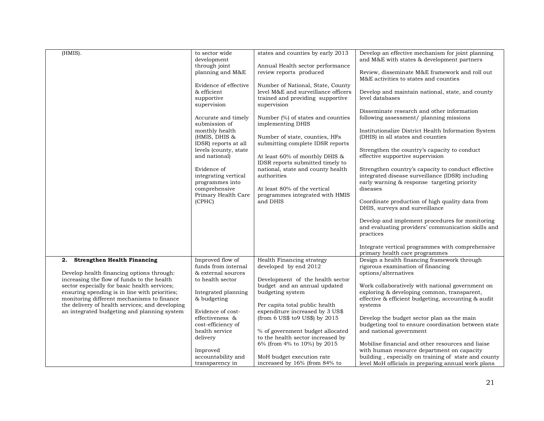| (HMIS).                                                                                     | to sector wide                                | states and counties by early 2013   | Develop an effective mechanism for joint planning                                                  |
|---------------------------------------------------------------------------------------------|-----------------------------------------------|-------------------------------------|----------------------------------------------------------------------------------------------------|
|                                                                                             | development<br>through joint                  | Annual Health sector performance    | and M&E with states & development partners                                                         |
|                                                                                             | planning and M&E                              | review reports produced             | Review, disseminate M&E framework and roll out                                                     |
|                                                                                             |                                               |                                     | M&E activities to states and counties                                                              |
|                                                                                             | Evidence of effective                         | Number of National, State, County   |                                                                                                    |
|                                                                                             | & efficient                                   | level M&E and surveillance officers | Develop and maintain national, state, and county                                                   |
|                                                                                             | supportive                                    | trained and providing supportive    | level databases                                                                                    |
|                                                                                             | supervision                                   | supervision                         |                                                                                                    |
|                                                                                             |                                               |                                     | Disseminate research and other information                                                         |
|                                                                                             | Accurate and timely                           | Number (%) of states and counties   | following assessment/ planning missions                                                            |
|                                                                                             | submission of                                 | implementing DHIS                   |                                                                                                    |
|                                                                                             | monthly health                                |                                     | Institutionalize District Health Information System                                                |
|                                                                                             | (HMIS, DHIS &                                 | Number of state, counties, HFs      | (DHIS) in all states and counties                                                                  |
|                                                                                             | IDSR) reports at all<br>levels (county, state | submitting complete IDSR reports    |                                                                                                    |
|                                                                                             | and national)                                 | At least 60% of monthly DHIS &      | Strengthen the country's capacity to conduct<br>effective supportive supervision                   |
|                                                                                             |                                               | IDSR reports submitted timely to    |                                                                                                    |
|                                                                                             | Evidence of                                   | national, state and county health   | Strengthen country's capacity to conduct effective                                                 |
|                                                                                             | integrating vertical                          | authorities                         | integrated disease surveillance (IDSR) including                                                   |
|                                                                                             | programmes into                               |                                     | early warning & response targeting priority                                                        |
|                                                                                             | comprehensive                                 | At least 80% of the vertical        | diseases                                                                                           |
|                                                                                             | Primary Health Care                           | programmes integrated with HMIS     |                                                                                                    |
|                                                                                             | (CPHC)                                        | and DHIS                            | Coordinate production of high quality data from                                                    |
|                                                                                             |                                               |                                     | DHIS, surveys and surveillance                                                                     |
|                                                                                             |                                               |                                     | Develop and implement procedures for monitoring                                                    |
|                                                                                             |                                               |                                     | and evaluating providers' communication skills and                                                 |
|                                                                                             |                                               |                                     | practices                                                                                          |
|                                                                                             |                                               |                                     |                                                                                                    |
|                                                                                             |                                               |                                     | Integrate vertical programmes with comprehensive                                                   |
|                                                                                             |                                               |                                     | primary health care programmes                                                                     |
| <b>Strengthen Health Financing</b><br>2.                                                    | Improved flow of                              | Health Financing strategy           | Design a health financing framework through                                                        |
|                                                                                             | funds from internal                           | developed by end 2012               | rigorous examination of financing                                                                  |
| Develop health financing options through:                                                   | & external sources                            |                                     | options/alternatives                                                                               |
| increasing the flow of funds to the health                                                  | to health sector                              | Development of the health sector    |                                                                                                    |
| sector especially for basic health services;                                                |                                               | budget and an annual updated        | Work collaboratively with national government on                                                   |
| ensuring spending is in line with priorities;<br>monitoring different mechanisms to finance | Integrated planning<br>& budgeting            | budgeting system                    | exploring & developing common, transparent,<br>effective & efficient budgeting, accounting & audit |
| the delivery of health services; and developing                                             |                                               | Per capita total public health      | systems                                                                                            |
| an integrated budgeting and planning system                                                 | Evidence of cost-                             | expenditure increased by 3 US\$     |                                                                                                    |
|                                                                                             | effectiveness &                               | (from 6 US\$ to 9 US\$) by 2015     | Develop the budget sector plan as the main                                                         |
|                                                                                             | cost-efficiency of                            |                                     | budgeting tool to ensure coordination between state                                                |
|                                                                                             | health service                                | % of government budget allocated    | and national government                                                                            |
|                                                                                             | delivery                                      | to the health sector increased by   |                                                                                                    |
|                                                                                             |                                               | 6% (from 4% to 10%) by 2015         | Mobilise financial and other resources and liaise                                                  |
|                                                                                             | Improved                                      |                                     | with human resource department on capacity                                                         |
|                                                                                             | accountability and                            | MoH budget execution rate           | building, especially on training of state and county                                               |
|                                                                                             | transparency in                               | increased by 16% (from 84% to       | level MoH officials in preparing annual work plans                                                 |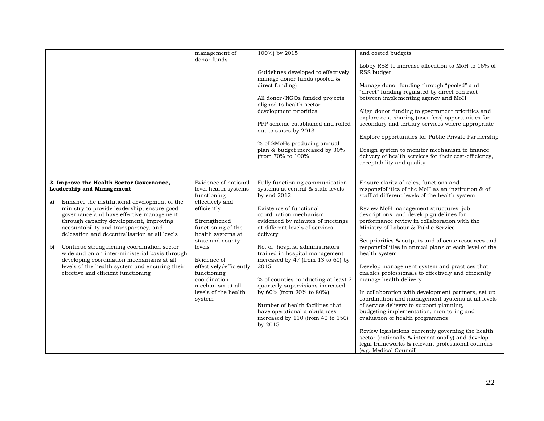|                                                                                                                                                                                                                                   | management of<br>donor funds                                                              | 100%) by 2015                                                                                                                        | and costed budgets                                                                                                                                                       |
|-----------------------------------------------------------------------------------------------------------------------------------------------------------------------------------------------------------------------------------|-------------------------------------------------------------------------------------------|--------------------------------------------------------------------------------------------------------------------------------------|--------------------------------------------------------------------------------------------------------------------------------------------------------------------------|
|                                                                                                                                                                                                                                   |                                                                                           | Guidelines developed to effectively<br>manage donor funds (pooled &                                                                  | Lobby RSS to increase allocation to MoH to 15% of<br>RSS budget                                                                                                          |
|                                                                                                                                                                                                                                   |                                                                                           | direct funding)                                                                                                                      | Manage donor funding through "pooled" and<br>"direct" funding regulated by direct contract                                                                               |
|                                                                                                                                                                                                                                   |                                                                                           | All donor/NGOs funded projects<br>aligned to health sector                                                                           | between implementing agency and MoH                                                                                                                                      |
|                                                                                                                                                                                                                                   |                                                                                           | development priorities                                                                                                               | Align donor funding to government priorities and<br>explore cost-sharing (user fees) opportunities for                                                                   |
|                                                                                                                                                                                                                                   |                                                                                           | PPP scheme established and rolled<br>out to states by 2013                                                                           | secondary and tertiary services where appropriate                                                                                                                        |
|                                                                                                                                                                                                                                   |                                                                                           | % of SMoHs producing annual                                                                                                          | Explore opportunities for Public Private Partnership                                                                                                                     |
|                                                                                                                                                                                                                                   |                                                                                           | plan & budget increased by 30%<br>(from 70% to 100%)                                                                                 | Design system to monitor mechanism to finance<br>delivery of health services for their cost-efficiency,<br>acceptability and quality.                                    |
|                                                                                                                                                                                                                                   |                                                                                           |                                                                                                                                      |                                                                                                                                                                          |
| 3. Improve the Health Sector Governance,<br><b>Leadership and Management</b><br>Enhance the institutional development of the                                                                                                      | Evidence of national<br>level health systems<br>functioning<br>effectively and            | Fully functioning communication<br>systems at central & state levels<br>by end $2012$                                                | Ensure clarity of roles, functions and<br>responsibilities of the MoH as an institution & of<br>staff at different levels of the health system                           |
| a)<br>ministry to provide leadership, ensure good<br>governance and have effective management<br>through capacity development, improving<br>accountability and transparency, and<br>delegation and decentralisation at all levels | efficiently<br>Strengthened<br>functioning of the<br>health systems at                    | Existence of functional<br>coordination mechanism<br>evidenced by minutes of meetings<br>at different levels of services<br>delivery | Review MoH management structures, job<br>descriptions, and develop guidelines for<br>performance review in collaboration with the<br>Ministry of Labour & Public Service |
| Continue strengthening coordination sector<br>b)<br>wide and on an inter-ministerial basis through                                                                                                                                | state and county<br>levels                                                                | No. of hospital administrators<br>trained in hospital management                                                                     | Set priorities & outputs and allocate resources and<br>responsibilities in annual plans at each level of the<br>health system                                            |
| developing coordination mechanisms at all<br>levels of the health system and ensuring their<br>effective and efficient functioning                                                                                                | Evidence of<br>effectively/efficiently<br>functioning<br>coordination<br>mechanism at all | increased by $47$ (from 13 to 60) by<br>2015<br>% of counties conducting at least 2<br>quarterly supervisions increased              | Develop management system and practices that<br>enables professionals to effectively and efficiently<br>manage health delivery                                           |
|                                                                                                                                                                                                                                   | levels of the health<br>system                                                            | by 60% (from 20% to 80%)                                                                                                             | In collaboration with development partners, set up<br>coordination and management systems at all levels                                                                  |
|                                                                                                                                                                                                                                   |                                                                                           | Number of health facilities that<br>have operational ambulances                                                                      | of service delivery to support planning,<br>budgeting, implementation, monitoring and                                                                                    |
|                                                                                                                                                                                                                                   |                                                                                           | increased by 110 (from 40 to 150)<br>by 2015                                                                                         | evaluation of health programmes                                                                                                                                          |
|                                                                                                                                                                                                                                   |                                                                                           |                                                                                                                                      | Review legislations currently governing the health<br>sector (nationally & internationally) and develop                                                                  |
|                                                                                                                                                                                                                                   |                                                                                           |                                                                                                                                      | legal frameworks & relevant professional councils<br>(e.g. Medical Council)                                                                                              |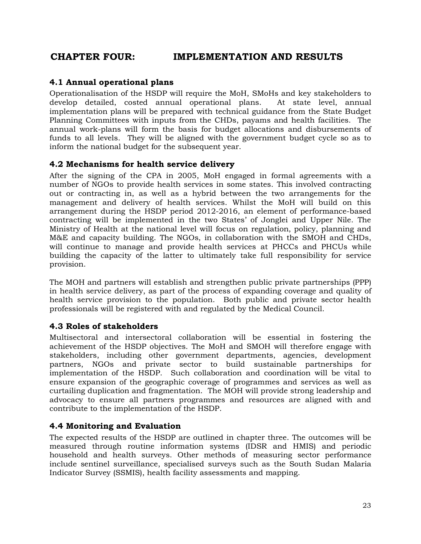# <span id="page-34-0"></span>**CHAPTER FOUR: IMPLEMENTATION AND RESULTS**

### <span id="page-34-1"></span>**4.1 Annual operational plans**

Operationalisation of the HSDP will require the MoH, SMoHs and key stakeholders to develop detailed, costed annual operational plans. At state level, annual implementation plans will be prepared with technical guidance from the State Budget Planning Committees with inputs from the CHDs, payams and health facilities. The annual work-plans will form the basis for budget allocations and disbursements of funds to all levels. They will be aligned with the government budget cycle so as to inform the national budget for the subsequent year.

### <span id="page-34-2"></span>**4.2 Mechanisms for health service delivery**

After the signing of the CPA in 2005, MoH engaged in formal agreements with a number of NGOs to provide health services in some states. This involved contracting out or contracting in, as well as a hybrid between the two arrangements for the management and delivery of health services. Whilst the MoH will build on this arrangement during the HSDP period 2012-2016, an element of performance-based contracting will be implemented in the two States' of Jonglei and Upper Nile. The Ministry of Health at the national level will focus on regulation, policy, planning and M&E and capacity building. The NGOs, in collaboration with the SMOH and CHDs, will continue to manage and provide health services at PHCCs and PHCUs while building the capacity of the latter to ultimately take full responsibility for service provision.

The MOH and partners will establish and strengthen public private partnerships (PPP) in health service delivery, as part of the process of expanding coverage and quality of health service provision to the population. Both public and private sector health professionals will be registered with and regulated by the Medical Council.

### <span id="page-34-3"></span>**4.3 Roles of stakeholders**

Multisectoral and intersectoral collaboration will be essential in fostering the achievement of the HSDP objectives. The MoH and SMOH will therefore engage with stakeholders, including other government departments, agencies, development partners, NGOs and private sector to build sustainable partnerships for implementation of the HSDP. Such collaboration and coordination will be vital to ensure expansion of the geographic coverage of programmes and services as well as curtailing duplication and fragmentation. The MOH will provide strong leadership and advocacy to ensure all partners programmes and resources are aligned with and contribute to the implementation of the HSDP.

### <span id="page-34-4"></span>**4.4 Monitoring and Evaluation**

The expected results of the HSDP are outlined in chapter three. The outcomes will be measured through routine information systems (IDSR and HMIS) and periodic household and health surveys. Other methods of measuring sector performance include sentinel surveillance, specialised surveys such as the South Sudan Malaria Indicator Survey (SSMIS), health facility assessments and mapping.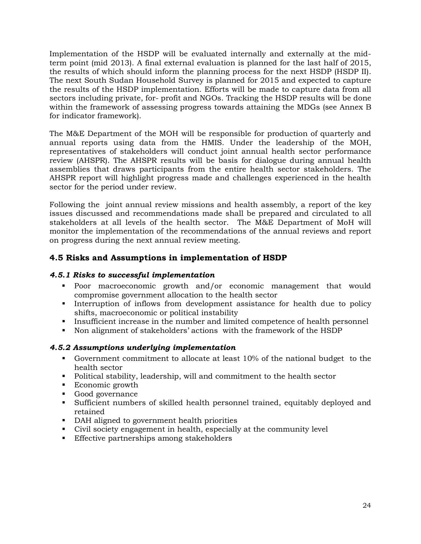Implementation of the HSDP will be evaluated internally and externally at the midterm point (mid 2013). A final external evaluation is planned for the last half of 2015, the results of which should inform the planning process for the next HSDP (HSDP II). The next South Sudan Household Survey is planned for 2015 and expected to capture the results of the HSDP implementation. Efforts will be made to capture data from all sectors including private, for- profit and NGOs. Tracking the HSDP results will be done within the framework of assessing progress towards attaining the MDGs (see Annex B for indicator framework).

The M&E Department of the MOH will be responsible for production of quarterly and annual reports using data from the HMIS. Under the leadership of the MOH, representatives of stakeholders will conduct joint annual health sector performance review (AHSPR). The AHSPR results will be basis for dialogue during annual health assemblies that draws participants from the entire health sector stakeholders. The AHSPR report will highlight progress made and challenges experienced in the health sector for the period under review.

Following the joint annual review missions and health assembly, a report of the key issues discussed and recommendations made shall be prepared and circulated to all stakeholders at all levels of the health sector. The M&E Department of MoH will monitor the implementation of the recommendations of the annual reviews and report on progress during the next annual review meeting.

# <span id="page-35-0"></span>**4.5 Risks and Assumptions in implementation of HSDP**

#### <span id="page-35-1"></span>*4.5.1 Risks to successful implementation*

- Poor macroeconomic growth and/or economic management that would compromise government allocation to the health sector
- Interruption of inflows from development assistance for health due to policy shifts, macroeconomic or political instability
- Insufficient increase in the number and limited competence of health personnel
- Non alignment of stakeholders' actions with the framework of the HSDP

### <span id="page-35-2"></span>*4.5.2 Assumptions underlying implementation*

- Government commitment to allocate at least 10% of the national budget to the health sector
- Political stability, leadership, will and commitment to the health sector
- Economic growth
- **Good governance**
- Sufficient numbers of skilled health personnel trained, equitably deployed and retained
- DAH aligned to government health priorities
- Civil society engagement in health, especially at the community level
- **Effective partnerships among stakeholders**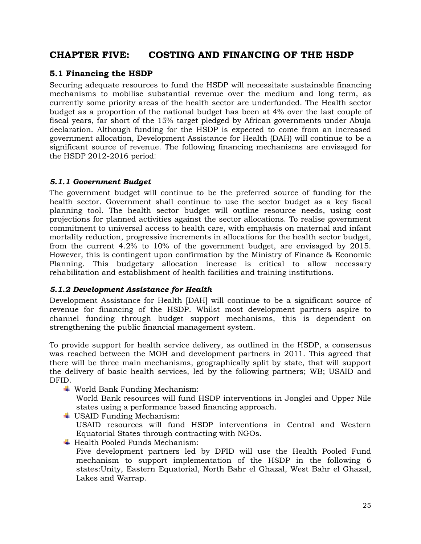# <span id="page-36-0"></span>**CHAPTER FIVE: COSTING AND FINANCING OF THE HSDP**

# <span id="page-36-1"></span>**5.1 Financing the HSDP**

Securing adequate resources to fund the HSDP will necessitate sustainable financing mechanisms to mobilise substantial revenue over the medium and long term, as currently some priority areas of the health sector are underfunded. The Health sector budget as a proportion of the national budget has been at 4% over the last couple of fiscal years, far short of the 15% target pledged by African governments under Abuja declaration. Although funding for the HSDP is expected to come from an increased government allocation, Development Assistance for Health (DAH) will continue to be a significant source of revenue. The following financing mechanisms are envisaged for the HSDP 2012-2016 period:

#### <span id="page-36-2"></span>*5.1.1 Government Budget*

The government budget will continue to be the preferred source of funding for the health sector. Government shall continue to use the sector budget as a key fiscal planning tool. The health sector budget will outline resource needs, using cost projections for planned activities against the sector allocations. To realise government commitment to universal access to health care, with emphasis on maternal and infant mortality reduction, progressive increments in allocations for the health sector budget, from the current 4.2% to 10% of the government budget, are envisaged by 2015. However, this is contingent upon confirmation by the Ministry of Finance & Economic Planning. This budgetary allocation increase is critical to allow necessary rehabilitation and establishment of health facilities and training institutions.

### <span id="page-36-3"></span>*5.1.2 Development Assistance for Health*

Development Assistance for Health [DAH] will continue to be a significant source of revenue for financing of the HSDP. Whilst most development partners aspire to channel funding through budget support mechanisms, this is dependent on strengthening the public financial management system.

To provide support for health service delivery, as outlined in the HSDP, a consensus was reached between the MOH and development partners in 2011. This agreed that there will be three main mechanisms, geographically split by state, that will support the delivery of basic health services, led by the following partners; WB; USAID and DFID.

World Bank Funding Mechanism:

World Bank resources will fund HSDP interventions in Jonglei and Upper Nile states using a performance based financing approach.

- USAID Funding Mechanism: USAID resources will fund HSDP interventions in Central and Western Equatorial States through contracting with NGOs.
- Health Pooled Funds Mechanism: Five development partners led by DFID will use the Health Pooled Fund mechanism to support implementation of the HSDP in the following 6 states:Unity, Eastern Equatorial, North Bahr el Ghazal, West Bahr el Ghazal, Lakes and Warrap.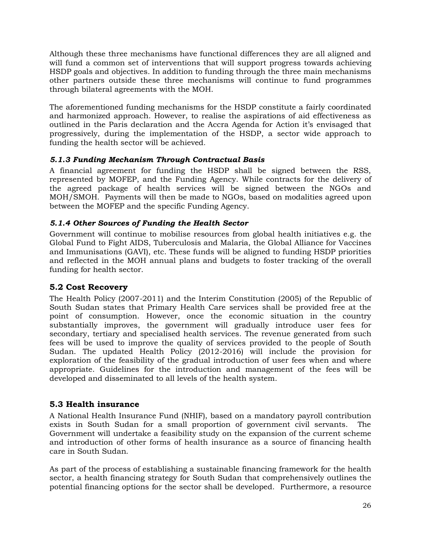Although these three mechanisms have functional differences they are all aligned and will fund a common set of interventions that will support progress towards achieving HSDP goals and objectives. In addition to funding through the three main mechanisms other partners outside these three mechanisms will continue to fund programmes through bilateral agreements with the MOH.

The aforementioned funding mechanisms for the HSDP constitute a fairly coordinated and harmonized approach. However, to realise the aspirations of aid effectiveness as outlined in the Paris declaration and the Accra Agenda for Action it's envisaged that progressively, during the implementation of the HSDP, a sector wide approach to funding the health sector will be achieved.

### <span id="page-37-0"></span>*5.1.3 Funding Mechanism Through Contractual Basis*

A financial agreement for funding the HSDP shall be signed between the RSS, represented by MOFEP, and the Funding Agency. While contracts for the delivery of the agreed package of health services will be signed between the NGOs and MOH/SMOH. Payments will then be made to NGOs, based on modalities agreed upon between the MOFEP and the specific Funding Agency.

#### <span id="page-37-1"></span>*5.1.4 Other Sources of Funding the Health Sector*

Government will continue to mobilise resources from global health initiatives e.g. the Global Fund to Fight AIDS, Tuberculosis and Malaria, the Global Alliance for Vaccines and Immunisations (GAVI), etc. These funds will be aligned to funding HSDP priorities and reflected in the MOH annual plans and budgets to foster tracking of the overall funding for health sector.

### <span id="page-37-2"></span>**5.2 Cost Recovery**

The Health Policy (2007-2011) and the Interim Constitution (2005) of the Republic of South Sudan states that Primary Health Care services shall be provided free at the point of consumption. However, once the economic situation in the country substantially improves, the government will gradually introduce user fees for secondary, tertiary and specialised health services. The revenue generated from such fees will be used to improve the quality of services provided to the people of South Sudan. The updated Health Policy (2012-2016) will include the provision for exploration of the feasibility of the gradual introduction of user fees when and where appropriate. Guidelines for the introduction and management of the fees will be developed and disseminated to all levels of the health system.

### <span id="page-37-3"></span>**5.3 Health insurance**

A National Health Insurance Fund (NHIF), based on a mandatory payroll contribution exists in South Sudan for a small proportion of government civil servants. The Government will undertake a feasibility study on the expansion of the current scheme and introduction of other forms of health insurance as a source of financing health care in South Sudan.

As part of the process of establishing a sustainable financing framework for the health sector, a health financing strategy for South Sudan that comprehensively outlines the potential financing options for the sector shall be developed. Furthermore, a resource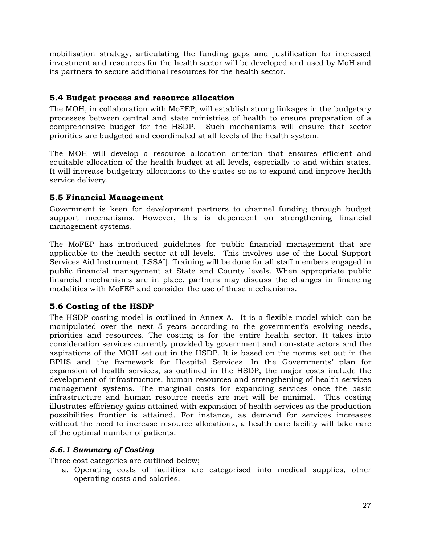mobilisation strategy, articulating the funding gaps and justification for increased investment and resources for the health sector will be developed and used by MoH and its partners to secure additional resources for the health sector.

# <span id="page-38-0"></span>**5.4 Budget process and resource allocation**

The MOH, in collaboration with MoFEP, will establish strong linkages in the budgetary processes between central and state ministries of health to ensure preparation of a comprehensive budget for the HSDP. Such mechanisms will ensure that sector priorities are budgeted and coordinated at all levels of the health system.

The MOH will develop a resource allocation criterion that ensures efficient and equitable allocation of the health budget at all levels, especially to and within states. It will increase budgetary allocations to the states so as to expand and improve health service delivery.

### <span id="page-38-1"></span>**5.5 Financial Management**

Government is keen for development partners to channel funding through budget support mechanisms. However, this is dependent on strengthening financial management systems.

The MoFEP has introduced guidelines for public financial management that are applicable to the health sector at all levels. This involves use of the Local Support Services Aid Instrument [LSSAI]. Training will be done for all staff members engaged in public financial management at State and County levels. When appropriate public financial mechanisms are in place, partners may discuss the changes in financing modalities with MoFEP and consider the use of these mechanisms.

# <span id="page-38-2"></span>**5.6 Costing of the HSDP**

The HSDP costing model is outlined in Annex A. It is a flexible model which can be manipulated over the next 5 years according to the government's evolving needs, priorities and resources. The costing is for the entire health sector. It takes into consideration services currently provided by government and non-state actors and the aspirations of the MOH set out in the HSDP. It is based on the norms set out in the BPHS and the framework for Hospital Services. In the Governments' plan for expansion of health services, as outlined in the HSDP, the major costs include the development of infrastructure, human resources and strengthening of health services management systems. The marginal costs for expanding services once the basic infrastructure and human resource needs are met will be minimal. This costing illustrates efficiency gains attained with expansion of health services as the production possibilities frontier is attained. For instance, as demand for services increases without the need to increase resource allocations, a health care facility will take care of the optimal number of patients.

### <span id="page-38-3"></span>*5.6.1 Summary of Costing*

Three cost categories are outlined below;

a. Operating costs of facilities are categorised into medical supplies, other operating costs and salaries.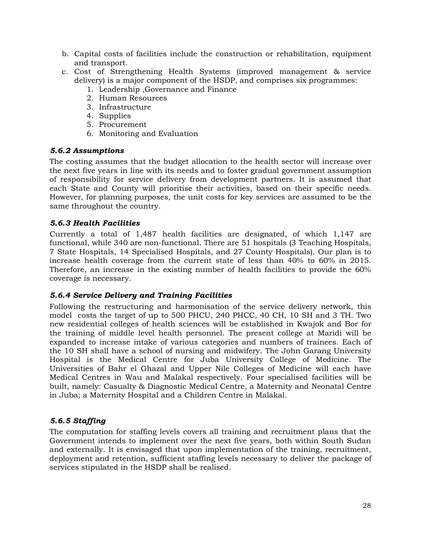- b. Capital costs of facilities include the construction or rehabilitation, equipment and transport.
- c. Cost of Strengthening Health Systems (improved management & service delivery) is a major component of the HSDP, and comprises six programmes:
	- 1. Leadership ,Governance and Finance
	- 2. Human Resources
	- 3. Infrastructure
	- 4. Supplies
	- 5. Procurement
	- 6. Monitoring and Evaluation

#### <span id="page-39-0"></span>*5.6.2 Assumptions*

The costing assumes that the budget allocation to the health sector will increase over the next five years in line with its needs and to foster gradual government assumption of responsibility for service delivery from development partners. It is assumed that each State and County will prioritise their activities, based on their specific needs. However, for planning purposes, the unit costs for key services are assumed to be the same throughout the country.

#### <span id="page-39-1"></span>*5.6.3 Health Facilities*

Currently a total of 1,487 health facilities are designated, of which 1,147 are functional, while 340 are non-functional. There are 51 hospitals (3 Teaching Hospitals, 7 State Hospitals, 14 Specialised Hospitals, and 27 County Hospitals). Our plan is to increase health coverage from the current state of less than 40% to 60% in 2015. Therefore, an increase in the existing number of health facilities to provide the 60% coverage is necessary.

#### <span id="page-39-2"></span>*5.6.4 Service Delivery and Training Facilities*

Following the restructuring and harmonisation of the service delivery network, this model costs the target of up to 500 PHCU, 240 PHCC, 40 CH, 10 SH and 3 TH. Two new residential colleges of health sciences will be established in Kwajok and Bor for the training of middle level health personnel. The present college at Maridi will be expanded to increase intake of various categories and numbers of trainees. Each of the 10 SH shall have a school of nursing and midwifery. The John Garang University Hospital is the Medical Centre for Juba University College of Medicine. The Universities of Bahr el Ghazal and Upper Nile Colleges of Medicine will each have Medical Centres in Wau and Malakal respectively. Four specialised facilities will be built, namely: Casualty & Diagnostic Medical Centre, a Maternity and Neonatal Centre in Juba; a Maternity Hospital and a Children Centre in Malakal.

### <span id="page-39-3"></span>*5.6.5 Staffing*

The computation for staffing levels covers all training and recruitment plans that the Government intends to implement over the next five years, both within South Sudan and externally. It is envisaged that upon implementation of the training, recruitment, deployment and retention, sufficient staffing levels necessary to deliver the package of services stipulated in the HSDP shall be realised.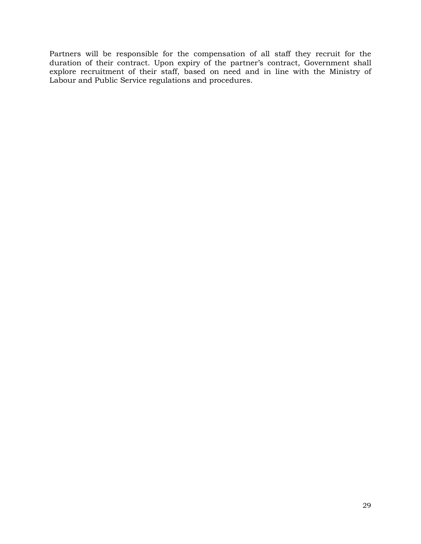Partners will be responsible for the compensation of all staff they recruit for the duration of their contract. Upon expiry of the partner's contract, Government shall explore recruitment of their staff, based on need and in line with the Ministry of Labour and Public Service regulations and procedures.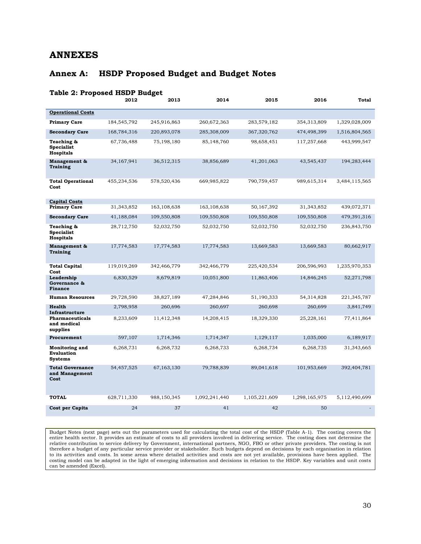# <span id="page-41-0"></span>**ANNEXES**

# <span id="page-41-1"></span>**Annex A: HSDP Proposed Budget and Budget Notes**

<span id="page-41-2"></span>

| <b>Table 2: Proposed HSDP Budget</b>                  |             |             |               |               |               |               |
|-------------------------------------------------------|-------------|-------------|---------------|---------------|---------------|---------------|
|                                                       | 2012        | 2013        | 2014          | 2015          | 2016          | <b>Total</b>  |
| <b>Operational Costs</b>                              |             |             |               |               |               |               |
| <b>Primary Care</b>                                   | 184,545,792 | 245,916,863 | 260,672,363   | 283,579,182   | 354,313,809   | 1,329,028,009 |
| <b>Secondary Care</b>                                 | 168,784,316 | 220,893,078 | 285,308,009   | 367,320,762   | 474,498,399   | 1,516,804,565 |
| Teaching &<br><b>Specialist</b><br><b>Hospitals</b>   | 67,736,488  | 75,198,180  | 85,148,760    | 98,658,451    | 117,257,668   | 443,999,547   |
| Management &<br><b>Training</b>                       | 34,167,941  | 36,512,315  | 38,856,689    | 41,201,063    | 43,545,437    | 194,283,444   |
| <b>Total Operational</b><br>Cost                      | 455,234,536 | 578,520,436 | 669,985,822   | 790,759,457   | 989,615,314   | 3,484,115,565 |
| <b>Capital Costs</b><br><b>Primary Care</b>           | 31,343,852  | 163,108,638 | 163,108,638   | 50,167,392    | 31,343,852    | 439,072,371   |
| <b>Secondary Care</b>                                 | 41,188,084  | 109,550,808 | 109,550,808   | 109,550,808   | 109,550,808   | 479,391,316   |
| Teaching &<br><b>Specialist</b><br><b>Hospitals</b>   | 28,712,750  | 52,032,750  | 52,032,750    | 52,032,750    | 52,032,750    | 236,843,750   |
| Management &<br><b>Training</b>                       | 17,774,583  | 17,774,583  | 17,774,583    | 13,669,583    | 13,669,583    | 80,662,917    |
| <b>Total Capital</b><br>Cost                          | 119,019,269 | 342,466,779 | 342,466,779   | 225,420,534   | 206,596,993   | 1,235,970,353 |
| Leadership<br>Governance &<br><b>Finance</b>          | 6,830,529   | 8,679,819   | 10,051,800    | 11,863,406    | 14,846,245    | 52,271,798    |
| <b>Human Resources</b>                                | 29,728,590  | 38,827,189  | 47,284,846    | 51,190,333    | 54,314,828    | 221,345,787   |
| <b>Health</b><br>Infrastructure                       | 2,798,958   | 260,696     | 260,697       | 260,698       | 260,699       | 3,841,749     |
| Pharmaceuticals<br>and medical<br>supplies            | 8,233,609   | 11,412,348  | 14,208,415    | 18,329,330    | 25,228,161    | 77,411,864    |
| Procurement                                           | 597,107     | 1,714,346   | 1,714,347     | 1,129,117     | 1,035,000     | 6,189,917     |
| Monitoring and<br><b>Evaluation</b><br><b>Systems</b> | 6,268,731   | 6,268,732   | 6,268,733     | 6,268,734     | 6,268,735     | 31,343,665    |
| <b>Total Governance</b><br>and Management<br>Cost     | 54,457,525  | 67,163,130  | 79,788,839    | 89,041,618    | 101,953,669   | 392,404,781   |
| <b>TOTAL</b>                                          | 628,711,330 | 988,150,345 | 1,092,241,440 | 1,105,221,609 | 1,298,165,975 | 5,112,490,699 |
| Cost per Capita                                       | 24          | 37          | 41            | 42            | 50            |               |

Budget Notes (next page) sets out the parameters used for calculating the total cost of the HSDP (Table A-1). The costing covers the entire health sector. It provides an estimate of costs to all providers involved in delivering service. The costing does not determine the relative contribution to service delivery by Government, international partners, NGO, FBO or other private providers. The costing is not therefore a budget of any particular service provider or stakeholder. Such budgets depend on decisions by each organisation in relation to its activities and costs. In some areas where detailed activities and costs are not yet available, provisions have been applied. The costing model can be adapted in the light of emerging information and decisions in relation to the HSDP. Key variables and unit costs can be amended (Excel).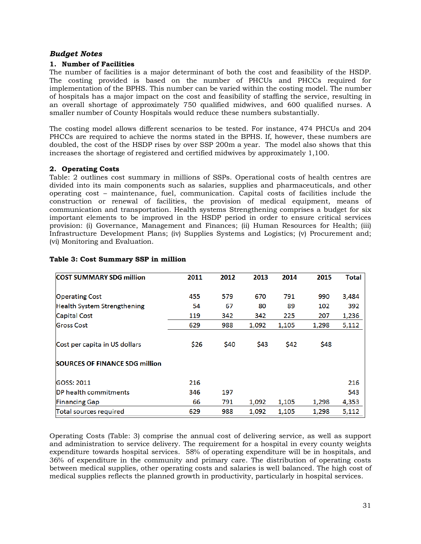#### *Budget Notes*

#### <span id="page-42-0"></span>**1. Number of Facilities**

The number of facilities is a major determinant of both the cost and feasibility of the HSDP. The costing provided is based on the number of PHCUs and PHCCs required for implementation of the BPHS. This number can be varied within the costing model. The number of hospitals has a major impact on the cost and feasibility of staffing the service, resulting in an overall shortage of approximately 750 qualified midwives, and 600 qualified nurses. A smaller number of County Hospitals would reduce these numbers substantially.

The costing model allows different scenarios to be tested. For instance, 474 PHCUs and 204 PHCCs are required to achieve the norms stated in the BPHS. If, however, these numbers are doubled, the cost of the HSDP rises by over SSP 200m a year. The model also shows that this increases the shortage of registered and certified midwives by approximately 1,100.

#### **2. Operating Costs**

Table: 2 outlines cost summary in millions of SSPs. Operational costs of health centres are divided into its main components such as salaries, supplies and pharmaceuticals, and other operating cost – maintenance, fuel, communication. Capital costs of facilities include the construction or renewal of facilities, the provision of medical equipment, means of communication and transportation. Health systems Strengthening comprises a budget for six important elements to be improved in the HSDP period in order to ensure critical services provision: (i) Governance, Management and Finances; (ii) Human Resources for Health; (iii) Infrastructure Development Plans; (iv) Supplies Systems and Logistics; (v) Procurement and; (vi) Monitoring and Evaluation.

| <b>COST SUMMARY SDG million</b>                                        | 2011 | 2012 | 2013  | 2014  | 2015  | Total |
|------------------------------------------------------------------------|------|------|-------|-------|-------|-------|
| <b>Operating Cost</b>                                                  | 455  | 579  | 670   | 791   | 990   | 3,484 |
| Health System Strengthening                                            | 54   | 67   | 80    | 89    | 102   | 392   |
| <b>Capital Cost</b>                                                    | 119  | 342  | 342   | 225   | 207   | 1,236 |
| <b>Gross Cost</b>                                                      | 629  | 988  | 1,092 | 1,105 | 1,298 | 5,112 |
| Cost per capita in US dollars<br><b>SOURCES OF FINANCE SDG million</b> | \$26 | \$40 | \$43  | \$42  | \$48  |       |
| <b>GOSS: 2011</b>                                                      | 216  |      |       |       |       | 216   |
| DP health commitments                                                  | 346  | 197  |       |       |       | 543   |
| <b>Financing Gap</b>                                                   | 66   | 791  | 1,092 | 1,105 | 1,298 | 4,353 |
| Total sources required                                                 | 629  | 988  | 1,092 | 1,105 | 1,298 | 5,112 |

#### <span id="page-42-1"></span>**Table 3: Cost Summary SSP in million**

Operating Costs (Table: 3) comprise the annual cost of delivering service, as well as support and administration to service delivery. The requirement for a hospital in every county weights expenditure towards hospital services. 58% of operating expenditure will be in hospitals, and 36% of expenditure in the community and primary care. The distribution of operating costs between medical supplies, other operating costs and salaries is well balanced. The high cost of medical supplies reflects the planned growth in productivity, particularly in hospital services.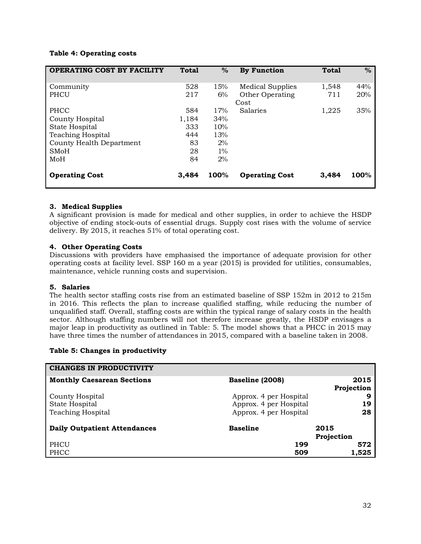#### <span id="page-43-0"></span>**Table 4: Operating costs**

| <b>OPERATING COST BY FACILITY</b> | <b>Total</b> | $\%$  | <b>By Function</b>      | <b>Total</b> | $\%$ |
|-----------------------------------|--------------|-------|-------------------------|--------------|------|
| Community                         | 528          | 15%   | <b>Medical Supplies</b> | 1,548        | 44%  |
| PHCU                              | 217          | 6%    | Other Operating         | 711          | 20%  |
|                                   |              |       | Cost                    |              |      |
| PHCC                              | 584          | 17%   | Salaries                | 1,225        | 35%  |
| County Hospital                   | 1,184        | 34%   |                         |              |      |
| State Hospital                    | 333          | 10%   |                         |              |      |
| <b>Teaching Hospital</b>          | 444          | 13%   |                         |              |      |
| County Health Department          | 83           | 2%    |                         |              |      |
| <b>SMoH</b>                       | 28           | $1\%$ |                         |              |      |
| MoH                               | 84           | 2%    |                         |              |      |
| <b>Operating Cost</b>             | 3.484        | 100%  | <b>Operating Cost</b>   | 3,484        | 100% |

#### **3. Medical Supplies**

A significant provision is made for medical and other supplies, in order to achieve the HSDP objective of ending stock-outs of essential drugs. Supply cost rises with the volume of service delivery. By 2015, it reaches 51% of total operating cost.

#### **4. Other Operating Costs**

Discussions with providers have emphasised the importance of adequate provision for other operating costs at facility level. SSP 160 m a year (2015) is provided for utilities, consumables, maintenance, vehicle running costs and supervision.

#### **5. Salaries**

The health sector staffing costs rise from an estimated baseline of SSP 152m in 2012 to 215m in 2016. This reflects the plan to increase qualified staffing, while reducing the number of unqualified staff. Overall, staffing costs are within the typical range of salary costs in the health sector. Although staffing numbers will not therefore increase greatly, the HSDP envisages a major leap in productivity as outlined in Table: 5. The model shows that a PHCC in 2015 may have three times the number of attendances in 2015, compared with a baseline taken in 2008.

#### <span id="page-43-1"></span>**Table 5: Changes in productivity**

| <b>CHANGES IN PRODUCTIVITY</b>      |                                                  |                    |
|-------------------------------------|--------------------------------------------------|--------------------|
| <b>Monthly Caesarean Sections</b>   | Baseline (2008)                                  | 2015<br>Projection |
| County Hospital<br>State Hospital   | Approx. 4 per Hospital<br>Approx. 4 per Hospital | 9<br>19            |
| <b>Teaching Hospital</b>            | Approx. 4 per Hospital                           | 28                 |
| <b>Daily Outpatient Attendances</b> | <b>Baseline</b>                                  | 2015<br>Projection |
| PHCU<br>PHCC                        | 199<br>509                                       | 572<br>1,525       |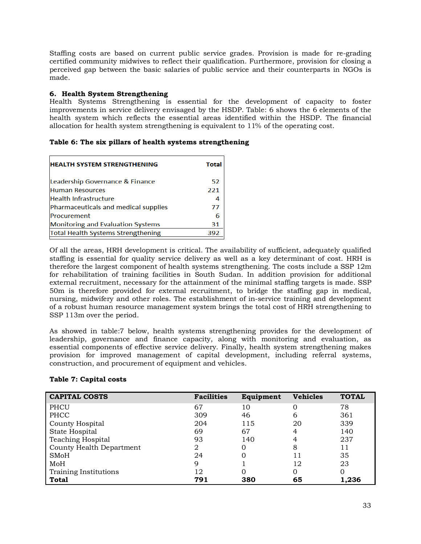Staffing costs are based on current public service grades. Provision is made for re-grading certified community midwives to reflect their qualification. Furthermore, provision for closing a perceived gap between the basic salaries of public service and their counterparts in NGOs is made.

#### **6. Health System Strengthening**

Health Systems Strengthening is essential for the development of capacity to foster improvements in service delivery envisaged by the HSDP. Table: 6 shows the 6 elements of the health system which reflects the essential areas identified within the HSDP. The financial allocation for health system strengthening is equivalent to 11% of the operating cost.

<span id="page-44-0"></span>

|  |  |  |  |  |  |  |  | Table 6: The six pillars of health systems strengthening |
|--|--|--|--|--|--|--|--|----------------------------------------------------------|
|--|--|--|--|--|--|--|--|----------------------------------------------------------|

| <b>HEALTH SYSTEM STRENGTHENING</b>        | <b>Total</b> |
|-------------------------------------------|--------------|
| Leadership Governance & Finance           | 52           |
| <b>Human Resources</b>                    | 221          |
| <b>Health Infrastructure</b>              | 4            |
| Pharmaceuticals and medical supplies      | 77           |
| Procurement                               | 6            |
| <b>Monitoring and Evaluation Systems</b>  | 31           |
| <b>Total Health Systems Strengthening</b> | 392          |
|                                           |              |

Of all the areas, HRH development is critical. The availability of sufficient, adequately qualified staffing is essential for quality service delivery as well as a key determinant of cost. HRH is therefore the largest component of health systems strengthening. The costs include a SSP 12m for rehabilitation of training facilities in South Sudan. In addition provision for additional external recruitment, necessary for the attainment of the minimal staffing targets is made. SSP 50m is therefore provided for external recruitment, to bridge the staffing gap in medical, nursing, midwifery and other roles. The establishment of in-service training and development of a robust human resource management system brings the total cost of HRH strengthening to SSP 113m over the period.

As showed in table:7 below, health systems strengthening provides for the development of leadership, governance and finance capacity, along with monitoring and evaluation, as essential components of effective service delivery. Finally, health system strengthening makes provision for improved management of capital development, including referral systems, construction, and procurement of equipment and vehicles.

| <b>CAPITAL COSTS</b>     | <b>Facilities</b> | Equipment | <b>Vehicles</b> | <b>TOTAL</b> |
|--------------------------|-------------------|-----------|-----------------|--------------|
| PHCU                     | 67                | 10        |                 | 78           |
| PHCC                     | 309               | 46        | 6               | 361          |
| County Hospital          | 204               | 115       | 20              | 339          |
| State Hospital           | 69                | 67        | 4               | 140          |
| <b>Teaching Hospital</b> | 93                | 140       | 4               | 237          |
| County Health Department | 2                 |           | 8               | 11           |
| <b>SMoH</b>              | 24                |           |                 | 35           |
| MoH                      | 9                 |           | 12              | 23           |
| Training Institutions    | 12                |           |                 | 0            |
| <b>Total</b>             | 791               | 380       | 65              | 1,236        |

#### <span id="page-44-1"></span>**Table 7: Capital costs**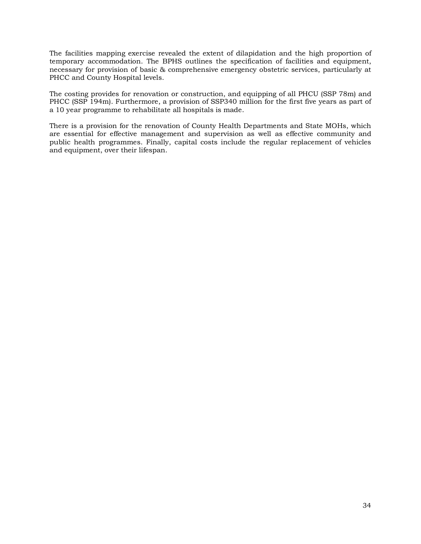The facilities mapping exercise revealed the extent of dilapidation and the high proportion of temporary accommodation. The BPHS outlines the specification of facilities and equipment, necessary for provision of basic & comprehensive emergency obstetric services, particularly at PHCC and County Hospital levels.

The costing provides for renovation or construction, and equipping of all PHCU (SSP 78m) and PHCC (SSP 194m). Furthermore, a provision of SSP340 million for the first five years as part of a 10 year programme to rehabilitate all hospitals is made.

There is a provision for the renovation of County Health Departments and State MOHs, which are essential for effective management and supervision as well as effective community and public health programmes. Finally, capital costs include the regular replacement of vehicles and equipment, over their lifespan.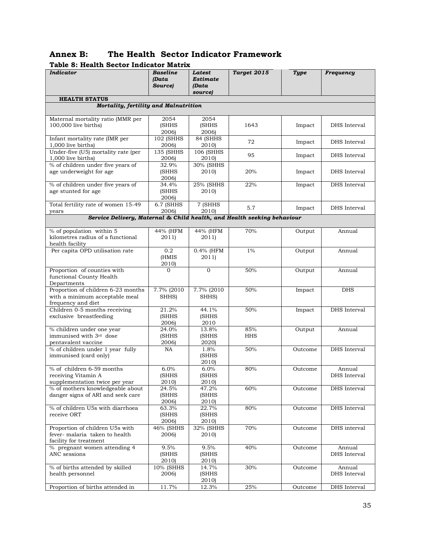<span id="page-46-1"></span><span id="page-46-0"></span>

| Table 8: Health Sector Indicator Matrix                                                    |                              |                                        |                   |             |                        |  |  |  |  |  |
|--------------------------------------------------------------------------------------------|------------------------------|----------------------------------------|-------------------|-------------|------------------------|--|--|--|--|--|
| Indicator                                                                                  | Baseline<br>(Data<br>Source) | Latest<br>Estimate<br>(Data<br>source) | Target 2015       | <b>Type</b> | <b>Frequency</b>       |  |  |  |  |  |
| <b>HEALTH STATUS</b>                                                                       |                              |                                        |                   |             |                        |  |  |  |  |  |
| Mortality, fertility and Malnutrition                                                      |                              |                                        |                   |             |                        |  |  |  |  |  |
| Maternal mortality ratio (MMR per                                                          | 2054                         | 2054                                   |                   |             |                        |  |  |  |  |  |
| 100,000 live births)                                                                       | (SHHS<br>2006)               | (SHHS<br>2006)                         | 1643              | Impact      | DHS Interval           |  |  |  |  |  |
| Infant mortality rate (IMR per<br>1,000 live births)                                       | 102 (SHHS<br>2006)           | 84 (SHHS<br>2010)                      | 72                | Impact      | DHS Interval           |  |  |  |  |  |
| Under-five (U5) mortality rate (per<br>1,000 live births)                                  | 135 (SHHS<br>2006)           | $106$ (SHHS<br>2010)                   | 95                | Impact      | DHS Interval           |  |  |  |  |  |
| % of children under five years of<br>age underweight for age                               | 32.9%<br>(SHHS<br>2006)      | 30% (SHHS<br>2010)                     | 20%               | Impact      | DHS Interval           |  |  |  |  |  |
| % of children under five years of<br>age stunted for age                                   | 34.4%<br>(SHHS<br>2006)      | 25% (SHHS<br>2010)                     | 22%               | Impact      | DHS Interval           |  |  |  |  |  |
| Total fertility rate of women 15-49<br>years                                               | 6.7 (SHHS<br>2006)           | 7 (SHHS<br>2010)                       | 5.7               | Impact      | DHS Interval           |  |  |  |  |  |
| Service Delivery, Maternal & Child health, and Health seeking behaviour                    |                              |                                        |                   |             |                        |  |  |  |  |  |
| % of population within 5<br>kilometres radius of a functional<br>health facility           | 44% (HFM<br>2011)            | 44% (HFM<br>2011)                      | 70%               | Output      | Annual                 |  |  |  |  |  |
| Per capita OPD utilisation rate                                                            | 0.2<br>(HMIS<br>2010)        | 0.4% (HFM<br>2011                      | $1\%$             | Output      | Annual                 |  |  |  |  |  |
| Proportion of counties with<br>functional County Health<br>Departments                     | $\overline{0}$               | $\mathbf{O}$                           | 50%               | Output      | Annual                 |  |  |  |  |  |
| Proportion of children 6-23 months<br>with a minimum acceptable meal<br>frequency and diet | 7.7% (2010)<br>SHHS)         | 7.7% (2010<br>SHHS)                    | 50%               | Impact      | <b>DHS</b>             |  |  |  |  |  |
| Children 0-5 months receiving<br>exclusive breastfeeding                                   | 21.2%<br>(SHHS<br>2006)      | 44.1%<br>(SHHS<br>2010                 | 50%               | Impact      | DHS Interval           |  |  |  |  |  |
| % children under one year<br>immunised with 3rd dose<br>pentavalent vaccine                | 24.0%<br>(SHHS<br>2006)      | 13.8%<br>(SHHS<br>2020)                | 85%<br><b>HHS</b> | Output      | Annual                 |  |  |  |  |  |
| % of children under 1 year fully<br>immunised (card only)                                  | <b>NA</b>                    | 1.8%<br>(SHHS<br>2010)                 | 50%               | Outcome     | DHS Interval           |  |  |  |  |  |
| % of children 6-59 months<br>receiving Vitamin A<br>supplementation twice per year         | 6.0%<br>(SHHS<br>2010)       | 6.0%<br>(SHHS<br>2010)                 | 80%               | Outcome     | Annual<br>DHS Interval |  |  |  |  |  |
| % of mothers knowledgeable about<br>danger signs of ARI and seek care                      | 24.5%<br>(SHHS<br>2006)      | 47.2%<br><b>(SHHS</b><br>2010)         | 60%               | Outcome     | DHS Interval           |  |  |  |  |  |
| % of children U5s with diarrhoea<br>receive ORT                                            | 63.3%<br>(SHHS<br>2006)      | 22.7%<br>(SHHS<br>2010)                | 80%               | Outcome     | DHS Interval           |  |  |  |  |  |
| Proportion of children U5s with<br>fever-malaria taken to health<br>facility for treatment | 46% (SHHS<br>2006)           | 32% (SHHS<br>2010)                     | 70%               | Outcome     | DHS interval           |  |  |  |  |  |
| % pregnant women attending 4<br>ANC sessions                                               | 9.5%<br>(SHHS<br>2010)       | 9.5%<br>(SHHS<br>2010)                 | 40%               | Outcome     | Annual<br>DHS Interval |  |  |  |  |  |
| % of births attended by skilled<br>health personnel                                        | 10% (SHHS<br>2006)           | 14.7%<br>(SHHS<br>2010)                | 30%               | Outcome     | Annual<br>DHS Interval |  |  |  |  |  |
| Proportion of births attended in                                                           | 11.7%                        | 12.3%                                  | 25%               | Outcome     | DHS Interval           |  |  |  |  |  |

#### **Annex B: The Health Sector Indicator Framework Table 8: Health Sector Indicator Matrix**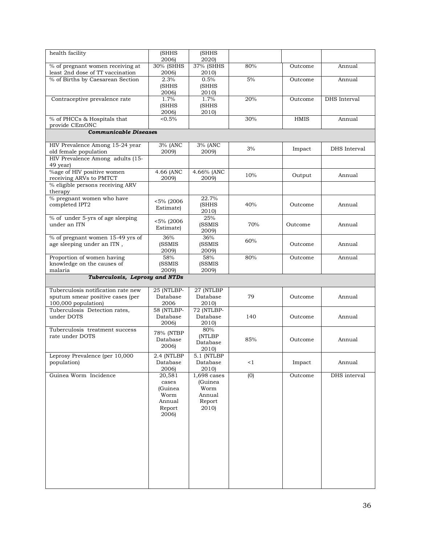| health facility                                          | (SHHS                    | <b>(SHHS</b>             |          |             |              |
|----------------------------------------------------------|--------------------------|--------------------------|----------|-------------|--------------|
|                                                          | 2006)                    | 2020)                    |          |             |              |
| % of pregnant women receiving at                         | 30% (SHHS                | 37% (SHHS                | 80%      | Outcome     | Annual       |
| least 2nd dose of TT vaccination                         | 2006)                    | 2010)                    |          |             |              |
| % of Births by Caesarean Section                         | 2.3%                     | 0.5%                     | 5%       | Outcome     | Annual       |
|                                                          | (SHHS<br>2006)           | (SHHS<br>2010)           |          |             |              |
| Contraceptive prevalence rate                            | 1.7%                     | 1.7%                     | 20%      | Outcome     | DHS Interval |
|                                                          | (SHHS                    | (SHHS                    |          |             |              |
|                                                          | 2006)                    | 2010)                    |          |             |              |
| % of PHCCs & Hospitals that                              | $5\%$                    |                          | 30%      | <b>HMIS</b> | Annual       |
| provide CEmONC                                           |                          |                          |          |             |              |
| <b>Communicable Diseases</b>                             |                          |                          |          |             |              |
| HIV Prevalence Among 15-24 year<br>old female population | 3% (ANC<br>2009)         | 3% (ANC<br>2009)         | 3%       | Impact      | DHS Interval |
| HIV Prevalence Among adults (15-                         |                          |                          |          |             |              |
| 49 year)                                                 |                          |                          |          |             |              |
| %age of HIV positive women                               | 4.66 (ANC                | 4.66% (ANC               |          |             |              |
| receiving ARVs to PMTCT                                  | 2009)                    | 2009)                    | 10%      | Output      | Annual       |
| % eligible persons receiving ARV                         |                          |                          |          |             |              |
| therapy                                                  |                          |                          |          |             |              |
| % pregnant women who have                                | <5% (2006                | 22.7%                    |          |             |              |
| completed IPT2                                           | Estimate)                | (SHHS                    | 40%      | Outcome     | Annual       |
|                                                          |                          | 2010)                    |          |             |              |
| % of under 5-yrs of age sleeping<br>under an ITN         | $< 5\%$ (2006)           | 25%                      |          |             |              |
|                                                          | Estimate)                | (SSMIS<br>2009)          | 70%      | Outcome     | Annual       |
| % of pregnant women 15-49 yrs of                         | 36%                      | 36%                      |          |             |              |
| age sleeping under an ITN,                               | (SSMIS                   | (SSMIS                   | 60%      | Outcome     | Annual       |
|                                                          | 2009)                    | 2009)                    |          |             |              |
| Proportion of women having                               | 58%                      | 58%                      | 80%      | Outcome     | Annual       |
| knowledge on the causes of                               | (SSMIS                   | (SSMIS                   |          |             |              |
| malaria                                                  | 2009)                    | 2009)                    |          |             |              |
|                                                          |                          |                          |          |             |              |
| Tuberculosis, Leprosy and NTDs                           |                          |                          |          |             |              |
| Tuberculosis notification rate new                       | 25 (NTLBP-               | 27 (NTLBP                |          |             |              |
| sputum smear positive cases (per                         | Database                 | Database                 | 79       | Outcome     | Annual       |
| 100,000 population)                                      | 2006                     | 2010)                    |          |             |              |
| Tuberculosis Detection rates,                            | 58 (NTLBP-               | 72 (NTLBP-               |          |             |              |
| under DOTS                                               | Database                 | Database                 | 140      | Outcome     | Annual       |
|                                                          | 2006)                    | 2010)                    |          |             |              |
| Tuberculosis treatment success                           | 78% (NTBP                | 80%                      |          |             |              |
| rate under DOTS                                          | Database                 | (NTLBP                   | 85%      | Outcome     | Annual       |
|                                                          | 2006)                    | Database                 |          |             |              |
|                                                          |                          | 2010)                    |          |             |              |
| Leprosy Prevalence (per 10,000<br>population)            | $2.4$ (NTLBP<br>Database | $5.1$ (NTLBP<br>Database | $\leq 1$ | Impact      | Annual       |
|                                                          | 2006)                    | 2010)                    |          |             |              |
| Guinea Worm Incidence                                    | 20,581                   | 1,698 cases              | (0)      | Outcome     | DHS interval |
|                                                          | cases                    | (Guinea                  |          |             |              |
|                                                          | (Guinea                  | Worm                     |          |             |              |
|                                                          | Worm                     | Annual                   |          |             |              |
|                                                          | Annual                   | Report                   |          |             |              |
|                                                          | Report                   | 2010)                    |          |             |              |
|                                                          | 2006)                    |                          |          |             |              |
|                                                          |                          |                          |          |             |              |
|                                                          |                          |                          |          |             |              |
|                                                          |                          |                          |          |             |              |
|                                                          |                          |                          |          |             |              |
|                                                          |                          |                          |          |             |              |
|                                                          |                          |                          |          |             |              |
|                                                          |                          |                          |          |             |              |
|                                                          |                          |                          |          |             |              |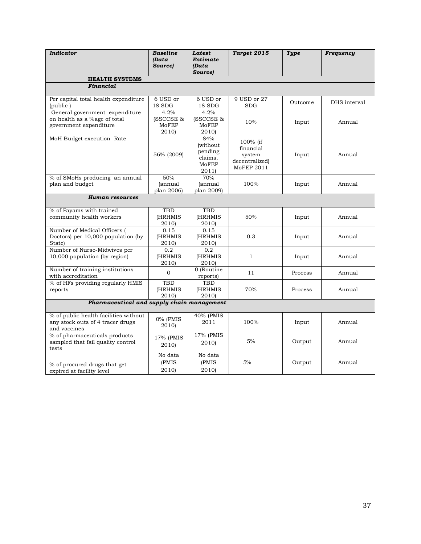| <b>Indicator</b>                                                                          | <b>Baseline</b><br>(Data<br>Source) | Latest<br><b>Estimate</b><br>(Data<br>Source)           | Target 2015                                                     | Type    | Frequency    |
|-------------------------------------------------------------------------------------------|-------------------------------------|---------------------------------------------------------|-----------------------------------------------------------------|---------|--------------|
| <b>HEALTH SYSTEMS</b>                                                                     |                                     |                                                         |                                                                 |         |              |
| Financial                                                                                 |                                     |                                                         |                                                                 |         |              |
| Per capital total health expenditure<br>(public)                                          | 6 USD or<br>$18\ \mathrm{SDG}$      | 6 USD or<br>$18\ \mathrm{SDG}$                          | 9 USD or 27<br><b>SDG</b>                                       | Outcome | DHS interval |
| General government expenditure<br>on health as a %age of total<br>government expenditure  | 4.2%<br>(SSCCSE &<br>MoFEP<br>2010) | 4.2%<br>(SSCCSE &<br>MoFEP<br>2010)                     | 10%                                                             | Input   | Annual       |
| MoH Budget execution Rate                                                                 | 56% (2009)                          | 84%<br>(without<br>pending<br>claims,<br>MoFEP<br>2011) | 100% (if<br>financial<br>system<br>decentralized)<br>MoFEP 2011 | Input   | Annual       |
| % of SMoHs producing an annual<br>plan and budget                                         | 50%<br><i>(annual</i><br>plan 2006) | 70%<br><i>(annual</i><br>plan 2009)                     | 100%                                                            | Input   | Annual       |
| <b>Human resources</b>                                                                    |                                     |                                                         |                                                                 |         |              |
| % of Payams with trained<br>community health workers                                      | TBD<br><b>(HRHMIS</b><br>2010)      | <b>TBD</b><br><b>HRHMIS</b><br>2010)                    | 50%                                                             | Input   | Annual       |
| Number of Medical Officers (<br>Doctors) per 10,000 population (by<br><b>State</b> )      | 0.15<br>(HRHMIS<br>2010)            | 0.15<br>(HRHMIS<br>2010)                                | 0.3                                                             | Input   | Annual       |
| Number of Nurse-Midwives per<br>10,000 population (by region)                             | 0.2<br>(HRHMIS<br>2010)             | 0.2<br>(HRHMIS<br>2010)                                 | 1                                                               | Input   | Annual       |
| Number of training institutions<br>with accreditation                                     | $\mathbf{0}$                        | 0 (Routine)<br>reports)                                 | 11                                                              | Process | Annual       |
| % of HFs providing regularly HMIS<br>reports                                              | TBD<br><b>(HRHMIS</b><br>2010)      | <b>TBD</b><br>(HRHMIS<br>2010)                          | 70%                                                             | Process | Annual       |
| Pharmaceutical and supply chain management                                                |                                     |                                                         |                                                                 |         |              |
| % of public health facilities without<br>any stock outs of 4 tracer drugs<br>and vaccines | 0% (PMIS<br>2010)                   | 40% (PMIS<br>2011                                       | 100%                                                            | Input   | Annual       |
| % of pharmaceuticals products<br>sampled that fail quality control<br>tests               | 17% (PMIS<br>2010)                  | 17% (PMIS<br>2010)                                      | 5%                                                              | Output  | Annual       |
| % of procured drugs that get<br>expired at facility level                                 | No data<br>(PMIS)<br>2010)          | No data<br>(PMIS)<br>2010)                              | 5%                                                              | Output  | Annual       |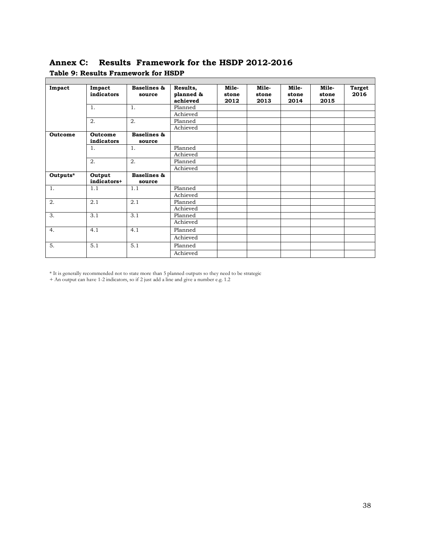<span id="page-49-1"></span><span id="page-49-0"></span>**Annex C: Results Framework for the HSDP 2012-2016 Table 9: Results Framework for HSDP**

| Impact   | Impact         | <b>Baselines &amp;</b> | Results,  | Mile- | Mile- | Mile- | Mile- | <b>Target</b> |
|----------|----------------|------------------------|-----------|-------|-------|-------|-------|---------------|
|          | indicators     | source                 | planned & | stone | stone | stone | stone | 2016          |
|          |                |                        | achieved  | 2012  | 2013  | 2014  | 2015  |               |
|          | 1.             | 1.                     | Planned   |       |       |       |       |               |
|          |                |                        | Achieved  |       |       |       |       |               |
|          | 2.             | 2.                     | Planned   |       |       |       |       |               |
|          |                |                        | Achieved  |       |       |       |       |               |
| Outcome  | <b>Outcome</b> | <b>Baselines &amp;</b> |           |       |       |       |       |               |
|          | indicators     | source                 |           |       |       |       |       |               |
|          | 1.             | 1.                     | Planned   |       |       |       |       |               |
|          |                |                        | Achieved  |       |       |       |       |               |
|          | 2.             | 2.                     | Planned   |       |       |       |       |               |
|          |                |                        | Achieved  |       |       |       |       |               |
| Outputs* | Output         | Baselines &            |           |       |       |       |       |               |
|          | indicators+    | source                 |           |       |       |       |       |               |
| 1.       | 1.1            | 1.1                    | Planned   |       |       |       |       |               |
|          |                |                        | Achieved  |       |       |       |       |               |
| 2.       | 2.1            | 2.1                    | Planned   |       |       |       |       |               |
|          |                |                        | Achieved  |       |       |       |       |               |
| 3.       | 3.1            | 3.1                    | Planned   |       |       |       |       |               |
|          |                |                        | Achieved  |       |       |       |       |               |
| 4.       | 4.1            | 4.1                    | Planned   |       |       |       |       |               |
|          |                |                        | Achieved  |       |       |       |       |               |
| 5.       | 5.1            | 5.1                    | Planned   |       |       |       |       |               |
|          |                |                        | Achieved  |       |       |       |       |               |

\* It is generally recommended not to state more than 5 planned outputs so they need to be strategic

+ An output can have 1-2 indicators, so if 2 just add a line and give a number e.g. 1.2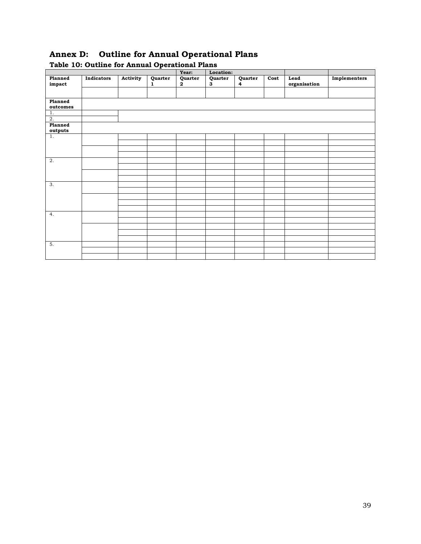<span id="page-50-1"></span><span id="page-50-0"></span>

| Table 10: Outline for Annual Operational Plans |            |          |              |                         |              |              |      |                      |              |
|------------------------------------------------|------------|----------|--------------|-------------------------|--------------|--------------|------|----------------------|--------------|
|                                                |            |          |              | Year:                   | Location:    |              |      |                      |              |
| Planned<br>impact                              | Indicators | Activity | Quarter<br>1 | Quarter<br>$\mathbf{2}$ | Quarter<br>3 | Quarter<br>4 | Cost | Lead<br>organisation | Implementers |
|                                                |            |          |              |                         |              |              |      |                      |              |
| Planned<br>outcomes                            |            |          |              |                         |              |              |      |                      |              |
| 1.<br>$\overline{2}$ .                         |            |          |              |                         |              |              |      |                      |              |
| Planned<br>outputs                             |            |          |              |                         |              |              |      |                      |              |
| $\overline{1}$ .                               |            |          |              |                         |              |              |      |                      |              |
|                                                |            |          |              |                         |              |              |      |                      |              |
|                                                |            |          |              |                         |              |              |      |                      |              |
| 2.                                             |            |          |              |                         |              |              |      |                      |              |
|                                                |            |          |              |                         |              |              |      |                      |              |
|                                                |            |          |              |                         |              |              |      |                      |              |
|                                                |            |          |              |                         |              |              |      |                      |              |
| 3.                                             |            |          |              |                         |              |              |      |                      |              |
|                                                |            |          |              |                         |              |              |      |                      |              |
|                                                |            |          |              |                         |              |              |      |                      |              |
|                                                |            |          |              |                         |              |              |      |                      |              |
| 4.                                             |            |          |              |                         |              |              |      |                      |              |
|                                                |            |          |              |                         |              |              |      |                      |              |
|                                                |            |          |              |                         |              |              |      |                      |              |
|                                                |            |          |              |                         |              |              |      |                      |              |
| 5.                                             |            |          |              |                         |              |              |      |                      |              |
|                                                |            |          |              |                         |              |              |      |                      |              |
|                                                |            |          |              |                         |              |              |      |                      |              |
|                                                |            |          |              |                         |              |              |      |                      |              |

# **Annex D: Outline for Annual Operational Plans**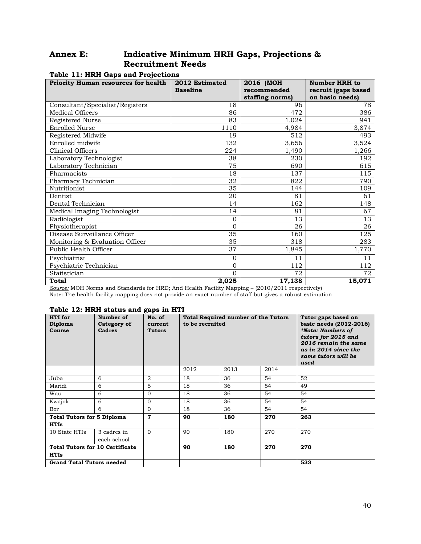# <span id="page-51-0"></span>**Annex E: Indicative Minimum HRH Gaps, Projections & Recruitment Needs**

| <b>Priority Human resources for health</b> | 2012 Estimated<br><b>Baseline</b> | 2016 (MOH<br>recommended<br>staffing norms) | <b>Number HRH</b> to<br>recruit (gaps based<br>on basic needs) |
|--------------------------------------------|-----------------------------------|---------------------------------------------|----------------------------------------------------------------|
| Consultant/Specialist/Registers            | 18                                | 96                                          | 78                                                             |
| Medical Officers                           | 86                                | 472                                         | 386                                                            |
| Registered Nurse                           | 83                                | 1,024                                       | 941                                                            |
| <b>Enrolled Nurse</b>                      | 1110                              | 4,984                                       | 3,874                                                          |
| Registered Midwife                         | 19                                | 512                                         | 493                                                            |
| Enrolled midwife                           | 132                               | 3,656                                       | 3,524                                                          |
| Clinical Officers                          | 224                               | 1,490                                       | 1,266                                                          |
| Laboratory Technologist                    | 38                                | 230                                         | 192                                                            |
| Laboratory Technician                      | 75                                | 690                                         | 615                                                            |
| Pharmacists                                | 18                                | 137                                         | 115                                                            |
| Pharmacy Technician                        | 32                                | 822                                         | 790                                                            |
| Nutritionist                               | 35                                | 144                                         | 109                                                            |
| Dentist                                    | 20                                | 81                                          | 61                                                             |
| Dental Technician                          | 14                                | 162                                         | 148                                                            |
| Medical Imaging Technologist               | 14                                | 81                                          | 67                                                             |
| Radiologist                                | $\mathbf{0}$                      | 13                                          | 13                                                             |
| Physiotherapist                            | $\Omega$                          | 26                                          | 26                                                             |
| Disease Surveillance Officer               | 35                                | 160                                         | 125                                                            |
| Monitoring & Evaluation Officer            | 35                                | 318                                         | 283                                                            |
| Public Health Officer                      | 37                                | 1,845                                       | 1,770                                                          |
| Psychiatrist                               | $\Omega$                          | 11                                          | 11                                                             |
| Psychiatric Technician                     | $\Omega$                          | 112                                         | 112                                                            |
| Statistician                               | $\Omega$                          | 72                                          | 72                                                             |
| <b>Total</b>                               | 2,025                             | 17,138                                      | 15,071                                                         |

#### <span id="page-51-1"></span>**Table 11: HRH Gaps and Projections**

*Source:* MOH Norms and Standards for HRD; And Health Facility Mapping – (2010/2011 respectively) Note: The health facility mapping does not provide an exact number of staff but gives a robust estimation

#### <span id="page-51-2"></span>**Table 12: HRH status and gaps in HTI**

| HTI for<br>Diploma<br>Course                          | Number of<br>Category of<br>Cadres | --<br>No. of<br>current<br><b>Tutors</b> | <b>Total Required number of the Tutors</b><br>to be recruited |      |      | Tutor gaps based on<br>basic needs (2012-2016)<br>*Note: Numbers of<br>tutors for 2015 and<br>2016 remain the same<br>as in 2014 since the<br>same tutors will be<br>used |  |  |
|-------------------------------------------------------|------------------------------------|------------------------------------------|---------------------------------------------------------------|------|------|---------------------------------------------------------------------------------------------------------------------------------------------------------------------------|--|--|
|                                                       |                                    |                                          | 2012                                                          | 2013 | 2014 |                                                                                                                                                                           |  |  |
| Juba                                                  | 6                                  | $\overline{2}$                           | 18                                                            | 36   | 54   | 52                                                                                                                                                                        |  |  |
| Maridi                                                | 6                                  | 5                                        | 18                                                            | 36   | 54   | 49                                                                                                                                                                        |  |  |
| Wau                                                   | 6                                  | $\Omega$                                 | 18                                                            | 36   | 54   | 54                                                                                                                                                                        |  |  |
| Kwajok                                                | 6                                  | $\Omega$                                 | 18                                                            | 36   | 54   | 54                                                                                                                                                                        |  |  |
| Bor                                                   | 6                                  | $\Omega$                                 | 18                                                            | 36   | 54   | 54                                                                                                                                                                        |  |  |
| <b>Total Tutors for 5 Diploma</b><br><b>HTIs</b>      |                                    | 7                                        | 90                                                            | 180  | 270  | 263                                                                                                                                                                       |  |  |
| 10 State HTIs                                         | 3 cadres in<br>each school         | $\Omega$                                 | 90                                                            | 180  | 270  | 270                                                                                                                                                                       |  |  |
| <b>Total Tutors for 10 Certificate</b><br><b>HTIs</b> |                                    |                                          | 90                                                            | 180  | 270  | 270                                                                                                                                                                       |  |  |
| <b>Grand Total Tutors needed</b>                      |                                    |                                          |                                                               |      |      | 533                                                                                                                                                                       |  |  |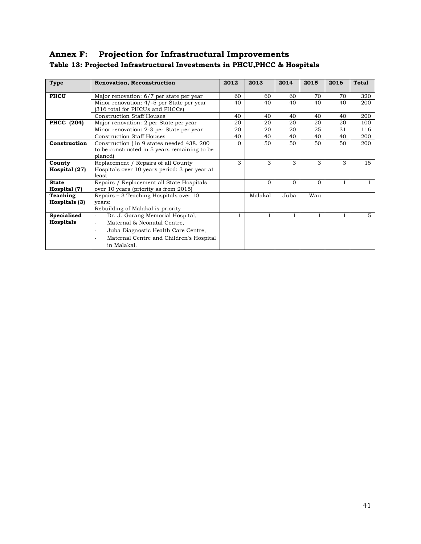# <span id="page-52-1"></span><span id="page-52-0"></span>**Annex F: Projection for Infrastructural Improvements Table 13: Projected Infrastructural Investments in PHCU,PHCC & Hospitals**

| Type               | <b>Renovation, Reconstruction</b>                                            | 2012     | 2013     | 2014     | 2015         | 2016 | <b>Total</b> |
|--------------------|------------------------------------------------------------------------------|----------|----------|----------|--------------|------|--------------|
| <b>PHCU</b>        | Major renovation: 6/7 per state per year                                     | 60       | 60       | 60       | 70           | 70   | 320          |
|                    | Minor renovation: 4/-5 per State per year<br>(316 total for PHCUs and PHCCs) |          | 40       | 40       | 40           | 40   | 200          |
|                    | <b>Construction Staff Houses</b>                                             | 40       | 40       | 40       | 40           | 40   | 200          |
| <b>PHCC</b> (204)  | Major renovation: 2 per State per year                                       |          | 20       | 20       | 20           | 20   | 100          |
|                    | Minor renovation: 2-3 per State per year                                     | 20       | 20       | 20       | 25           | 31   | 116          |
|                    | <b>Construction Staff Houses</b>                                             | 40       | 40       | 40       | 40           | 40   | 200          |
| Construction       | Construction (in 9 states needed 438, 200)                                   | $\Omega$ | 50       | 50       | 50           | 50   | 200          |
|                    | to be constructed in 5 years remaining to be<br>planed)                      |          |          |          |              |      |              |
| County             | Replacement / Repairs of all County                                          | 3        | 3        | 3        | 3            | 3    | 15           |
| Hospital (27)      | Hospitals over 10 years period: 3 per year at<br>least                       |          |          |          |              |      |              |
| <b>State</b>       | Repairs / Replacement all State Hospitals                                    |          | $\Omega$ | $\Omega$ | $\Omega$     |      |              |
| Hospital (7)       | over 10 years (priority as from 2015)                                        |          |          |          |              |      |              |
| Teaching           | Repairs – 3 Teaching Hospitals over 10                                       |          | Malakal  | Juba     | Wau          |      |              |
| Hospitals (3)      | vears:<br>Rebuilding of Malakal is priority                                  |          |          |          |              |      |              |
| <b>Specialised</b> | Dr. J. Garang Memorial Hospital,<br>$\sim$                                   |          | 1        |          | $\mathbf{1}$ |      | $5^{\circ}$  |
| <b>Hospitals</b>   | Maternal & Neonatal Centre,<br>$\mathcal{L}$                                 |          |          |          |              |      |              |
|                    | Juba Diagnostic Health Care Centre,<br>$\overline{\phantom{a}}$              |          |          |          |              |      |              |
|                    | Maternal Centre and Children's Hospital<br>$\overline{\phantom{a}}$          |          |          |          |              |      |              |
|                    | in Malakal.                                                                  |          |          |          |              |      |              |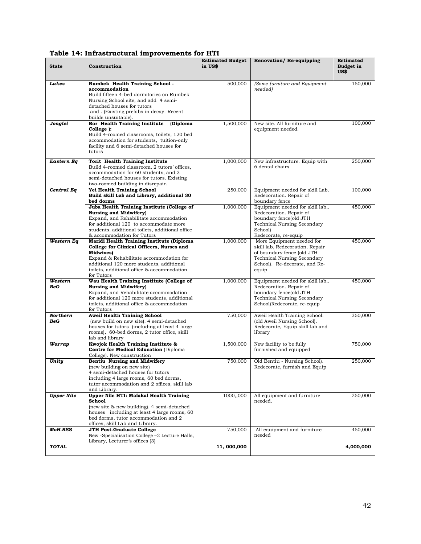| <b>State</b>      | Construction                                                                                                                                                                                                                                                   | <b>Estimated Budget</b><br>in US\$ | Renovation/Re-equipping                                                                                                                                                    | <b>Estimated</b><br><b>Budget in</b><br>US\$ |
|-------------------|----------------------------------------------------------------------------------------------------------------------------------------------------------------------------------------------------------------------------------------------------------------|------------------------------------|----------------------------------------------------------------------------------------------------------------------------------------------------------------------------|----------------------------------------------|
| Lakes             | Rumbek Health Training School -<br>accommodation<br>Build fifteen 4-bed dormitories on Rumbek<br>Nursing School site, and add 4 semi-<br>detached houses for tutors<br>and . (Existing prefabs in decay. Recent<br>builds unsuitable).                         | 500,000                            | (Some furniture and Equipment<br>needed)                                                                                                                                   | 150,000                                      |
| Jonglei           | Bor Health Training Institute<br>(Diploma<br>College ):<br>Build 4-roomed classrooms, toilets, 120 bed<br>accommodation for students, tuition-only<br>facility and 6 semi-detached houses for<br>tutors                                                        | 1,500,000                          | New site. All furniture and<br>equipment needed.                                                                                                                           | 100,000                                      |
| Eastern Eq        | Torit Health Training Institute<br>Build 4-roomed classroom, 2 tutors' offices,<br>accommodation for 60 students, and 3<br>semi-detached houses for tutors. Existing<br>two-roomed building in disrepair.                                                      | 1,000,000                          | New infrastructure. Equip with<br>6 dental chairs                                                                                                                          | 250,000                                      |
| Central Eq        | Yei Health Training School<br>Build skill Lab and Library, additional 30<br>bed dorms                                                                                                                                                                          | 250,000                            | Equipment needed for skill Lab.<br>Redecoration. Repair of<br>boundary fence                                                                                               | 100,000                                      |
|                   | Juba Health Training Institute (College of<br><b>Nursing and Midwifery)</b><br>Expand, and Rehabilitate accommodation<br>for additional 120 to accommodate more<br>students, additional toilets, additional office<br>& accommodation for Tutors               | 1,000,000                          | Equipment needed for skill lab,.<br>Redecoration. Repair of<br>boundary fence(old JTH<br><b>Technical Nursing Secondary</b><br>School)<br>Redecorate, re-equip             | 450,000                                      |
| Western Eq        | Maridi Health Training Institute (Diploma<br>College for Clinical Officers, Nurses and<br><b>Midwives</b> )<br>Expand & Rehabilitate accommodation for<br>additional 120 more students, additional<br>toilets, additional office & accommodation<br>for Tutors | 1,000,000                          | More Equipment needed for<br>skill lab, Redecoration. Repair<br>of boundary fence (old JTH<br><b>Technical Nursing Secondary</b><br>School). Re-decorate, and Re-<br>equip | 450,000                                      |
| Western<br>BeG    | Wau Health Training Institute (College of<br><b>Nursing and Midwifery)</b><br>Expand, and Rehabilitate accommodation<br>for additional 120 more students, additional<br>toilets, additional office & accommodation<br>for Tutors                               | 1,000,000                          | Equipment needed for skill lab,.<br>Redecoration. Repair of<br>boundary fence(old JTH<br><b>Technical Nursing Secondary</b><br>School)Redecorate, re-equip                 | 450,000                                      |
| Northern<br>BeG   | <b>Aweil Health Training School</b><br>(new build on new site). 4 semi-detached<br>houses for tutors (including at least 4 large<br>rooms), 60-bed dorms, 2 tutor office, skill<br>lab and library                                                             | 750,000                            | Aweil Health Training School:<br>(old Aweil Nursing School).<br>Redecorate, Equip skill lab and<br>library                                                                 | 350,000                                      |
| Warrap            | Kwojok Health Training Institute &<br>Centre for Medical Education (Diploma<br>College). New construction                                                                                                                                                      | 1,500,000                          | New facility to be fully<br>furnished and equipped                                                                                                                         | 750,000                                      |
| Unity             | Bentiu Nursing and Midwifery<br>(new building on new site)<br>4 semi-detached houses for tutors<br>including 4 large rooms, 60 bed dorms,<br>tutor accommodation and 2 offices, skill lab<br>and Library.                                                      | 750,000                            | Old Bentiu - Nursing School).<br>Redecorate, furnish and Equip                                                                                                             | 250,000                                      |
| <b>Upper Nile</b> | <b>Upper Nile HTI: Malakal Health Training</b><br>School<br>(new site & new building). 4 semi-detached<br>houses including at least 4 large rooms, 60<br>bed dorms, tutor accommodation and 2<br>offices, skill Lab and Library.                               | 1000,,000                          | All equipment and furniture<br>needed.                                                                                                                                     | 250,000                                      |
| <b>MoH-RSS</b>    | <b>JTH Post-Graduate College</b><br>New -Specialisation College -2 Lecture Halls,<br>Library, Lecturer's offices (3)                                                                                                                                           | 750,000                            | All equipment and furniture<br>needed                                                                                                                                      | 450,000                                      |
| <b>TOTAL</b>      |                                                                                                                                                                                                                                                                | 11,000,000                         |                                                                                                                                                                            | 4,000,000                                    |

#### <span id="page-53-0"></span>**Table 14: Infrastructural improvements for HTI**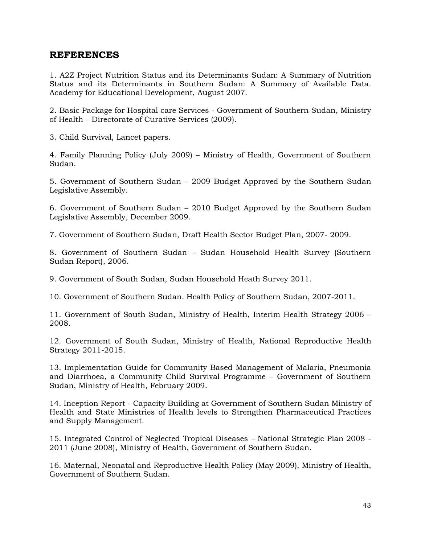# <span id="page-54-0"></span>**REFERENCES**

1. A2Z Project Nutrition Status and its Determinants Sudan: A Summary of Nutrition Status and its Determinants in Southern Sudan: A Summary of Available Data. Academy for Educational Development, August 2007.

2. Basic Package for Hospital care Services - Government of Southern Sudan, Ministry of Health – Directorate of Curative Services (2009).

3. Child Survival, Lancet papers.

4. Family Planning Policy (July 2009) – Ministry of Health, Government of Southern Sudan.

5. Government of Southern Sudan – 2009 Budget Approved by the Southern Sudan Legislative Assembly.

6. Government of Southern Sudan – 2010 Budget Approved by the Southern Sudan Legislative Assembly, December 2009.

7. Government of Southern Sudan, Draft Health Sector Budget Plan, 2007- 2009.

8. Government of Southern Sudan – Sudan Household Health Survey (Southern Sudan Report), 2006.

9. Government of South Sudan, Sudan Household Heath Survey 2011.

10. Government of Southern Sudan. Health Policy of Southern Sudan, 2007-2011.

11. Government of South Sudan, Ministry of Health, Interim Health Strategy 2006 – 2008.

12. Government of South Sudan, Ministry of Health, National Reproductive Health Strategy 2011-2015.

13. Implementation Guide for Community Based Management of Malaria, Pneumonia and Diarrhoea, a Community Child Survival Programme – Government of Southern Sudan, Ministry of Health, February 2009.

14. Inception Report - Capacity Building at Government of Southern Sudan Ministry of Health and State Ministries of Health levels to Strengthen Pharmaceutical Practices and Supply Management.

15. Integrated Control of Neglected Tropical Diseases – National Strategic Plan 2008 - 2011 (June 2008), Ministry of Health, Government of Southern Sudan.

16. Maternal, Neonatal and Reproductive Health Policy (May 2009), Ministry of Health, Government of Southern Sudan.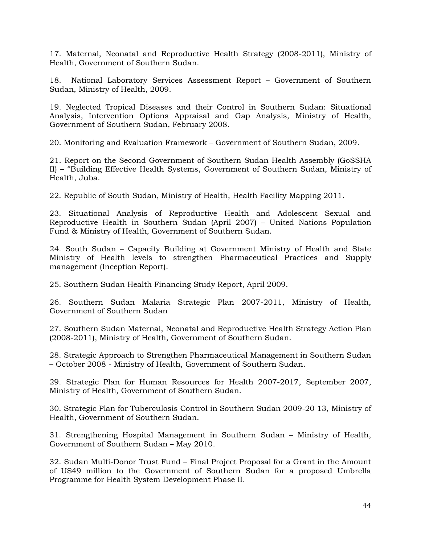17. Maternal, Neonatal and Reproductive Health Strategy (2008-2011), Ministry of Health, Government of Southern Sudan.

18. National Laboratory Services Assessment Report – Government of Southern Sudan, Ministry of Health, 2009.

19. Neglected Tropical Diseases and their Control in Southern Sudan: Situational Analysis, Intervention Options Appraisal and Gap Analysis, Ministry of Health, Government of Southern Sudan, February 2008.

20. Monitoring and Evaluation Framework – Government of Southern Sudan, 2009.

21. Report on the Second Government of Southern Sudan Health Assembly (GoSSHA II) – "Building Effective Health Systems, Government of Southern Sudan, Ministry of Health, Juba.

22. Republic of South Sudan, Ministry of Health, Health Facility Mapping 2011.

23. Situational Analysis of Reproductive Health and Adolescent Sexual and Reproductive Health in Southern Sudan (April 2007) – United Nations Population Fund & Ministry of Health, Government of Southern Sudan.

24. South Sudan – Capacity Building at Government Ministry of Health and State Ministry of Health levels to strengthen Pharmaceutical Practices and Supply management (Inception Report).

25. Southern Sudan Health Financing Study Report, April 2009.

26. Southern Sudan Malaria Strategic Plan 2007-2011, Ministry of Health, Government of Southern Sudan

27. Southern Sudan Maternal, Neonatal and Reproductive Health Strategy Action Plan (2008-2011), Ministry of Health, Government of Southern Sudan.

28. Strategic Approach to Strengthen Pharmaceutical Management in Southern Sudan – October 2008 - Ministry of Health, Government of Southern Sudan.

29. Strategic Plan for Human Resources for Health 2007-2017, September 2007, Ministry of Health, Government of Southern Sudan.

30. Strategic Plan for Tuberculosis Control in Southern Sudan 2009-20 13, Ministry of Health, Government of Southern Sudan.

31. Strengthening Hospital Management in Southern Sudan – Ministry of Health, Government of Southern Sudan – May 2010.

32. Sudan Multi-Donor Trust Fund – Final Project Proposal for a Grant in the Amount of US49 million to the Government of Southern Sudan for a proposed Umbrella Programme for Health System Development Phase II.